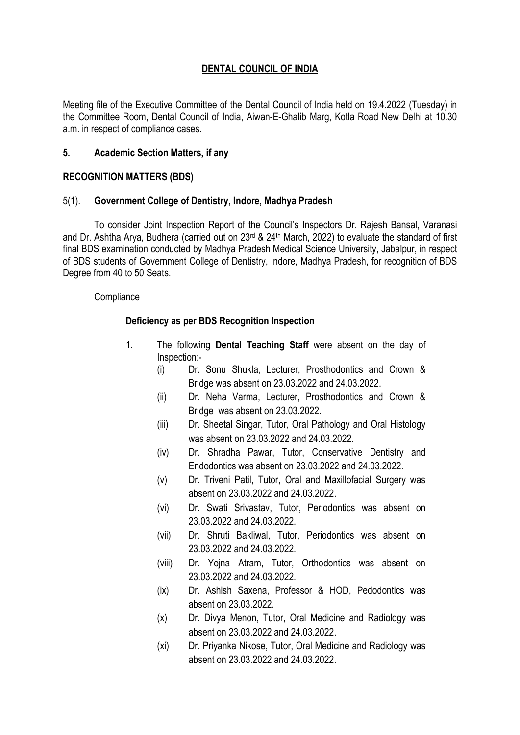# DENTAL COUNCIL OF INDIA

Meeting file of the Executive Committee of the Dental Council of India held on 19.4.2022 (Tuesday) in the Committee Room, Dental Council of India, Aiwan-E-Ghalib Marg, Kotla Road New Delhi at 10.30 a.m. in respect of compliance cases.

### 5. Academic Section Matters, if any

### RECOGNITION MATTERS (BDS)

### 5(1). Government College of Dentistry, Indore, Madhya Pradesh

To consider Joint Inspection Report of the Council's Inspectors Dr. Rajesh Bansal, Varanasi and Dr. Ashtha Arya, Budhera (carried out on 23<sup>rd</sup> & 24<sup>th</sup> March, 2022) to evaluate the standard of first final BDS examination conducted by Madhya Pradesh Medical Science University, Jabalpur, in respect of BDS students of Government College of Dentistry, Indore, Madhya Pradesh, for recognition of BDS Degree from 40 to 50 Seats.

### **Compliance**

## Deficiency as per BDS Recognition Inspection

- 1. The following Dental Teaching Staff were absent on the day of Inspection:-
	- (i) Dr. Sonu Shukla, Lecturer, Prosthodontics and Crown & Bridge was absent on 23.03.2022 and 24.03.2022.
	- (ii) Dr. Neha Varma, Lecturer, Prosthodontics and Crown & Bridge was absent on 23.03.2022.
	- (iii) Dr. Sheetal Singar, Tutor, Oral Pathology and Oral Histology was absent on 23.03.2022 and 24.03.2022.
	- (iv) Dr. Shradha Pawar, Tutor, Conservative Dentistry and Endodontics was absent on 23.03.2022 and 24.03.2022.
	- (v) Dr. Triveni Patil, Tutor, Oral and Maxillofacial Surgery was absent on 23.03.2022 and 24.03.2022.
	- (vi) Dr. Swati Srivastav, Tutor, Periodontics was absent on 23.03.2022 and 24.03.2022.
	- (vii) Dr. Shruti Bakliwal, Tutor, Periodontics was absent on 23.03.2022 and 24.03.2022.
	- (viii) Dr. Yojna Atram, Tutor, Orthodontics was absent on 23.03.2022 and 24.03.2022.
	- (ix) Dr. Ashish Saxena, Professor & HOD, Pedodontics was absent on 23.03.2022.
	- (x) Dr. Divya Menon, Tutor, Oral Medicine and Radiology was absent on 23.03.2022 and 24.03.2022.
	- (xi) Dr. Priyanka Nikose, Tutor, Oral Medicine and Radiology was absent on 23.03.2022 and 24.03.2022.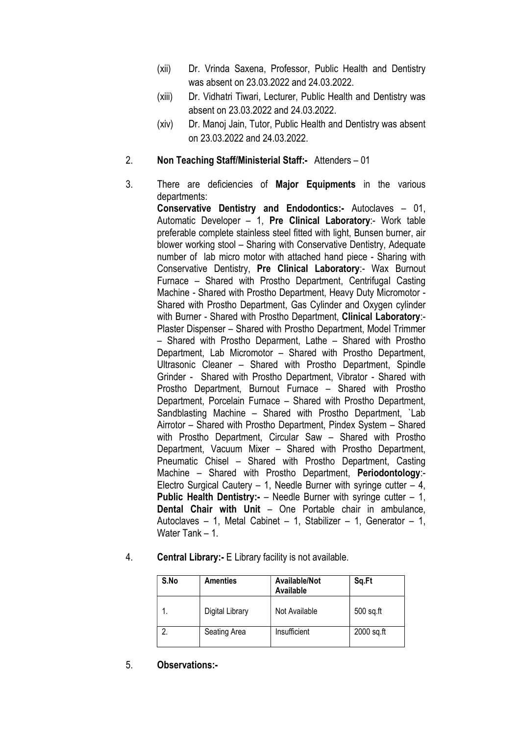- (xii) Dr. Vrinda Saxena, Professor, Public Health and Dentistry was absent on 23.03.2022 and 24.03.2022.
- (xiii) Dr. Vidhatri Tiwari, Lecturer, Public Health and Dentistry was absent on 23.03.2022 and 24.03.2022.
- (xiv) Dr. Manoj Jain, Tutor, Public Health and Dentistry was absent on 23.03.2022 and 24.03.2022.

## 2. Non Teaching Staff/Ministerial Staff:- Attenders – 01

3. There are deficiencies of Major Equipments in the various departments:

> Conservative Dentistry and Endodontics:- Autoclaves – 01, Automatic Developer – 1, Pre Clinical Laboratory:- Work table preferable complete stainless steel fitted with light, Bunsen burner, air blower working stool – Sharing with Conservative Dentistry, Adequate number of lab micro motor with attached hand piece - Sharing with Conservative Dentistry, Pre Clinical Laboratory:- Wax Burnout Furnace – Shared with Prostho Department, Centrifugal Casting Machine - Shared with Prostho Department, Heavy Duty Micromotor - Shared with Prostho Department, Gas Cylinder and Oxygen cylinder with Burner - Shared with Prostho Department, Clinical Laboratory:-Plaster Dispenser – Shared with Prostho Department, Model Trimmer – Shared with Prostho Deparment, Lathe – Shared with Prostho Department, Lab Micromotor – Shared with Prostho Department, Ultrasonic Cleaner – Shared with Prostho Department, Spindle Grinder - Shared with Prostho Department, Vibrator - Shared with Prostho Department, Burnout Furnace – Shared with Prostho Department, Porcelain Furnace – Shared with Prostho Department, Sandblasting Machine – Shared with Prostho Department, `Lab Airrotor – Shared with Prostho Department, Pindex System – Shared with Prostho Department, Circular Saw – Shared with Prostho Department, Vacuum Mixer – Shared with Prostho Department, Pneumatic Chisel – Shared with Prostho Department, Casting Machine – Shared with Prostho Department, Periodontology:- Electro Surgical Cautery  $-1$ , Needle Burner with syringe cutter  $-4$ , Public Health Dentistry:- - Needle Burner with syringe cutter - 1, Dental Chair with Unit – One Portable chair in ambulance, Autoclaves – 1, Metal Cabinet – 1, Stabilizer – 1, Generator – 1, Water Tank – 1

4. Central Library:- E Library facility is not available.

| S.No | <b>Amenties</b> | Available/Not<br>Available | Sq.Ft       |
|------|-----------------|----------------------------|-------------|
|      | Digital Library | Not Available              | $500$ sq.ft |
|      | Seating Area    | Insufficient               | 2000 sq.ft  |

5. Observations:-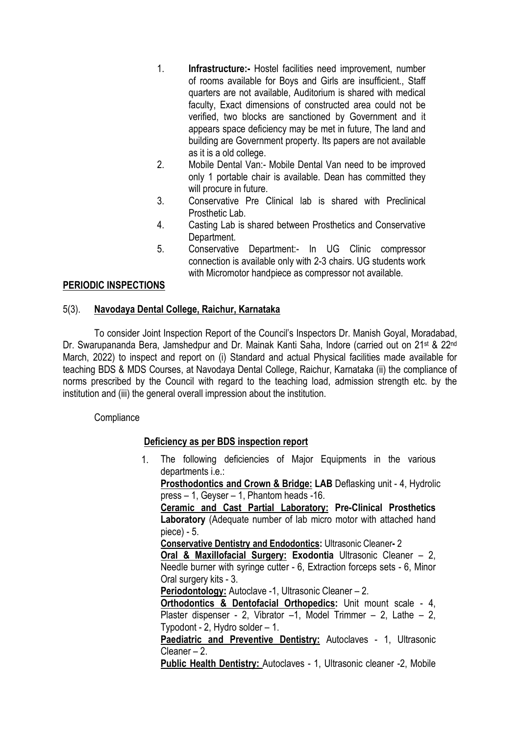- 1. Infrastructure:- Hostel facilities need improvement, number of rooms available for Boys and Girls are insufficient., Staff quarters are not available, Auditorium is shared with medical faculty, Exact dimensions of constructed area could not be verified, two blocks are sanctioned by Government and it appears space deficiency may be met in future, The land and building are Government property. Its papers are not available as it is a old college.
- 2. Mobile Dental Van:- Mobile Dental Van need to be improved only 1 portable chair is available. Dean has committed they will procure in future.
- 3. Conservative Pre Clinical lab is shared with Preclinical Prosthetic Lab.
- 4. Casting Lab is shared between Prosthetics and Conservative Department.
- 5. Conservative Department:- In UG Clinic compressor connection is available only with 2-3 chairs. UG students work with Micromotor handpiece as compressor not available.

## PERIODIC INSPECTIONS

## 5(3). Navodaya Dental College, Raichur, Karnataka

To consider Joint Inspection Report of the Council's Inspectors Dr. Manish Goyal, Moradabad, Dr. Swarupananda Bera, Jamshedpur and Dr. Mainak Kanti Saha, Indore (carried out on 21<sup>st</sup> & 22<sup>nd</sup> March, 2022) to inspect and report on (i) Standard and actual Physical facilities made available for teaching BDS & MDS Courses, at Navodaya Dental College, Raichur, Karnataka (ii) the compliance of norms prescribed by the Council with regard to the teaching load, admission strength etc. by the institution and (iii) the general overall impression about the institution.

## **Compliance**

## Deficiency as per BDS inspection report

1. The following deficiencies of Major Equipments in the various departments i.e.:

Prosthodontics and Crown & Bridge: LAB Deflasking unit - 4, Hydrolic press – 1, Geyser – 1, Phantom heads -16.

Ceramic and Cast Partial Laboratory: Pre-Clinical Prosthetics Laboratory (Adequate number of lab micro motor with attached hand piece) - 5.

Conservative Dentistry and Endodontics: Ultrasonic Cleaner- 2

Oral & Maxillofacial Surgery: Exodontia Ultrasonic Cleaner – 2, Needle burner with syringe cutter - 6, Extraction forceps sets - 6, Minor Oral surgery kits - 3.

Periodontology: Autoclave -1, Ultrasonic Cleaner – 2.

Orthodontics & Dentofacial Orthopedics: Unit mount scale - 4, Plaster dispenser - 2, Vibrator –1, Model Trimmer – 2, Lathe – 2, Typodont - 2, Hydro solder – 1.

Paediatric and Preventive Dentistry: Autoclaves - 1, Ultrasonic Cleaner – 2.

Public Health Dentistry: Autoclaves - 1, Ultrasonic cleaner -2, Mobile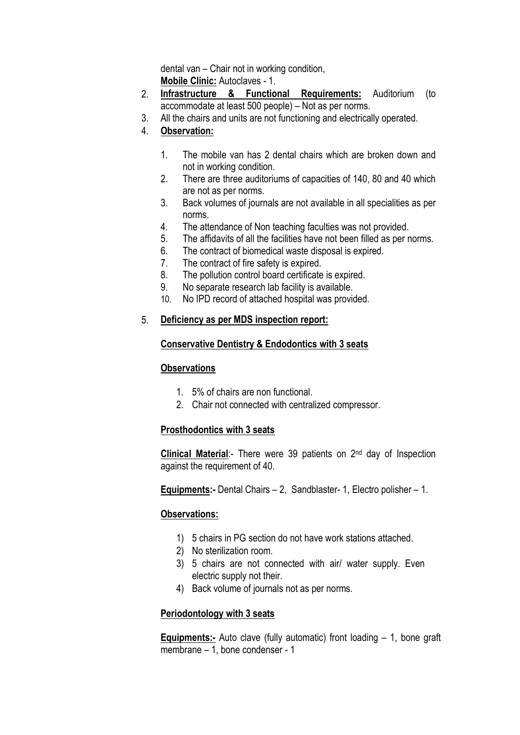dental van – Chair not in working condition, Mobile Clinic: Autoclaves - 1.

- 2. Infrastructure & Functional Requirements: Auditorium (to accommodate at least 500 people) – Not as per norms.
- 3. All the chairs and units are not functioning and electrically operated.
- 4. Observation:
	- 1. The mobile van has 2 dental chairs which are broken down and not in working condition.
	- 2. There are three auditoriums of capacities of 140, 80 and 40 which are not as per norms.
	- 3. Back volumes of journals are not available in all specialities as per norms.
	- 4. The attendance of Non teaching faculties was not provided.
	- 5. The affidavits of all the facilities have not been filled as per norms.
	- 6. The contract of biomedical waste disposal is expired.
	- 7. The contract of fire safety is expired.
	- 8. The pollution control board certificate is expired.
	- 9. No separate research lab facility is available.
	- 10. No IPD record of attached hospital was provided.

## 5. Deficiency as per MDS inspection report:

## Conservative Dentistry & Endodontics with 3 seats

## **Observations**

- 1. 5% of chairs are non functional.
- 2. Chair not connected with centralized compressor.

## Prosthodontics with 3 seats

Clinical Material:- There were 39 patients on 2<sup>nd</sup> day of Inspection against the requirement of 40.

Equipments:- Dental Chairs – 2, Sandblaster- 1, Electro polisher – 1.

## Observations:

- 1) 5 chairs in PG section do not have work stations attached.
- 2) No sterilization room.
- 3) 5 chairs are not connected with air/ water supply. Even electric supply not their.
- 4) Back volume of journals not as per norms.

## Periodontology with 3 seats

**Equipments:-** Auto clave (fully automatic) front loading  $-1$ , bone graft membrane – 1, bone condenser - 1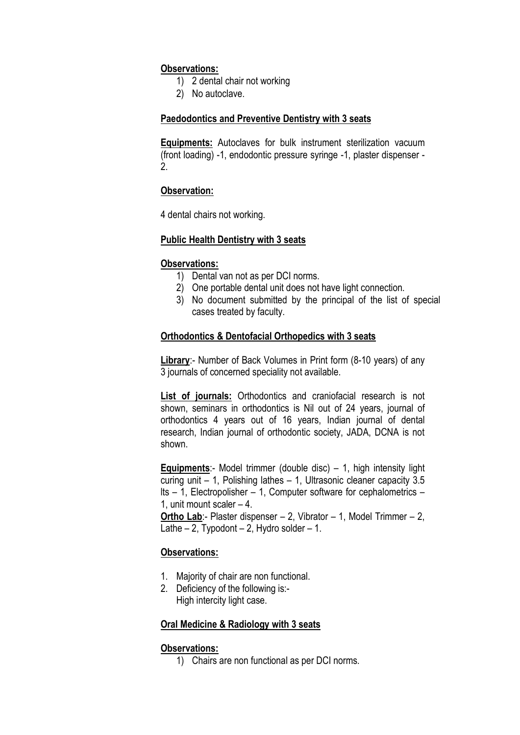### Observations:

- 1) 2 dental chair not working
- 2) No autoclave.

### Paedodontics and Preventive Dentistry with 3 seats

**Equipments:** Autoclaves for bulk instrument sterilization vacuum (front loading) -1, endodontic pressure syringe -1, plaster dispenser - 2.

## Observation:

4 dental chairs not working.

### Public Health Dentistry with 3 seats

### Observations:

- 1) Dental van not as per DCI norms.
- 2) One portable dental unit does not have light connection.
- 3) No document submitted by the principal of the list of special cases treated by faculty.

### Orthodontics & Dentofacial Orthopedics with 3 seats

Library:- Number of Back Volumes in Print form (8-10 years) of any 3 journals of concerned speciality not available.

List of journals: Orthodontics and craniofacial research is not shown, seminars in orthodontics is Nil out of 24 years, journal of orthodontics 4 years out of 16 years, Indian journal of dental research, Indian journal of orthodontic society, JADA, DCNA is not shown.

**Equipments:**- Model trimmer (double disc)  $-1$ , high intensity light curing unit – 1, Polishing lathes – 1, Ultrasonic cleaner capacity 3.5 lts – 1, Electropolisher – 1, Computer software for cephalometrics – 1, unit mount scaler – 4.

Ortho Lab:- Plaster dispenser – 2, Vibrator – 1, Model Trimmer – 2, Lathe  $-2$ , Typodont  $-2$ , Hydro solder  $-1$ .

### Observations:

- 1. Majority of chair are non functional.
- 2. Deficiency of the following is:- High intercity light case.

### Oral Medicine & Radiology with 3 seats

## Observations:

1) Chairs are non functional as per DCI norms.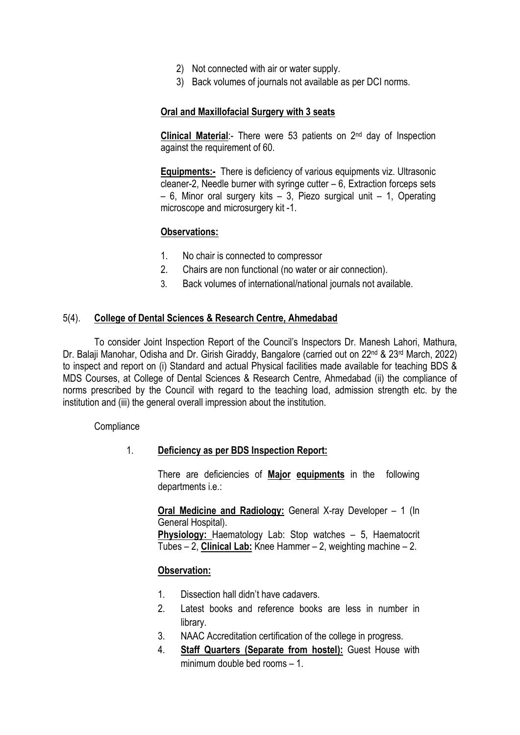- 2) Not connected with air or water supply.
- 3) Back volumes of journals not available as per DCI norms.

### Oral and Maxillofacial Surgery with 3 seats

**Clinical Material:-** There were 53 patients on  $2^{nd}$  day of Inspection against the requirement of 60.

Equipments:- There is deficiency of various equipments viz. Ultrasonic cleaner-2, Needle burner with syringe cutter – 6, Extraction forceps sets  $-6$ , Minor oral surgery kits  $-3$ , Piezo surgical unit  $-1$ , Operating microscope and microsurgery kit -1.

### Observations:

- 1. No chair is connected to compressor
- 2. Chairs are non functional (no water or air connection).
- 3. Back volumes of international/national journals not available.

### 5(4). College of Dental Sciences & Research Centre, Ahmedabad

To consider Joint Inspection Report of the Council's Inspectors Dr. Manesh Lahori, Mathura, Dr. Balaji Manohar, Odisha and Dr. Girish Giraddy, Bangalore (carried out on 22<sup>nd</sup> & 23<sup>rd</sup> March, 2022) to inspect and report on (i) Standard and actual Physical facilities made available for teaching BDS & MDS Courses, at College of Dental Sciences & Research Centre, Ahmedabad (ii) the compliance of norms prescribed by the Council with regard to the teaching load, admission strength etc. by the institution and (iii) the general overall impression about the institution.

**Compliance** 

## 1. Deficiency as per BDS Inspection Report:

There are deficiencies of Major equipments in the following departments i.e.:

Oral Medicine and Radiology: General X-ray Developer – 1 (In General Hospital).

Physiology: Haematology Lab: Stop watches – 5, Haematocrit Tubes – 2, **Clinical Lab:** Knee Hammer – 2, weighting machine – 2.

## Observation:

- 1. Dissection hall didn't have cadavers.
- 2. Latest books and reference books are less in number in library.
- 3. NAAC Accreditation certification of the college in progress.
- 4. Staff Quarters (Separate from hostel): Guest House with minimum double bed rooms – 1.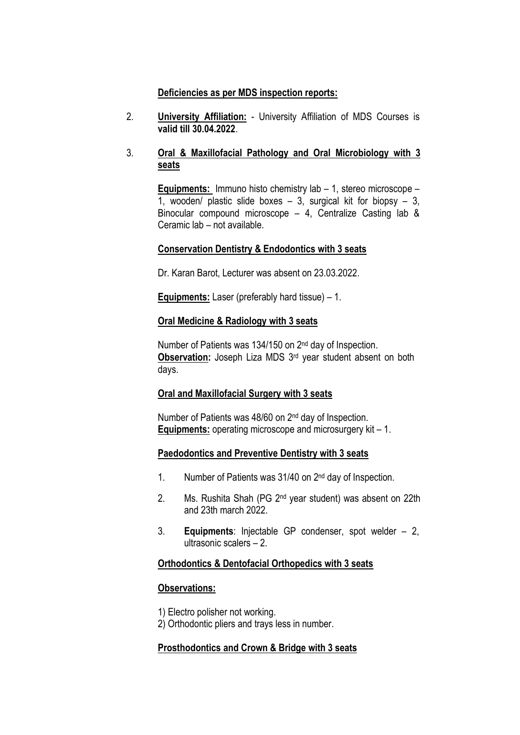### Deficiencies as per MDS inspection reports:

2. University Affiliation: - University Affiliation of MDS Courses is valid till 30.04.2022.

## 3. Oral & Maxillofacial Pathology and Oral Microbiology with 3 seats

Equipments: Immuno histo chemistry lab – 1, stereo microscope – 1, wooden/ plastic slide boxes  $-3$ , surgical kit for biopsy  $-3$ , Binocular compound microscope – 4, Centralize Casting lab & Ceramic lab – not available.

### Conservation Dentistry & Endodontics with 3 seats

Dr. Karan Barot, Lecturer was absent on 23.03.2022.

Equipments: Laser (preferably hard tissue) – 1.

### Oral Medicine & Radiology with 3 seats

Number of Patients was 134/150 on 2<sup>nd</sup> day of Inspection. Observation: Joseph Liza MDS 3<sup>rd</sup> year student absent on both days.

### Oral and Maxillofacial Surgery with 3 seats

Number of Patients was 48/60 on 2nd day of Inspection. Equipments: operating microscope and microsurgery kit - 1.

### Paedodontics and Preventive Dentistry with 3 seats

- 1. Number of Patients was 31/40 on 2nd day of Inspection.
- 2. Ms. Rushita Shah (PG 2nd year student) was absent on 22th and 23th march 2022.
- 3. Equipments: Injectable GP condenser, spot welder 2, ultrasonic scalers – 2.

### Orthodontics & Dentofacial Orthopedics with 3 seats

### Observations:

1) Electro polisher not working.

2) Orthodontic pliers and trays less in number.

## Prosthodontics and Crown & Bridge with 3 seats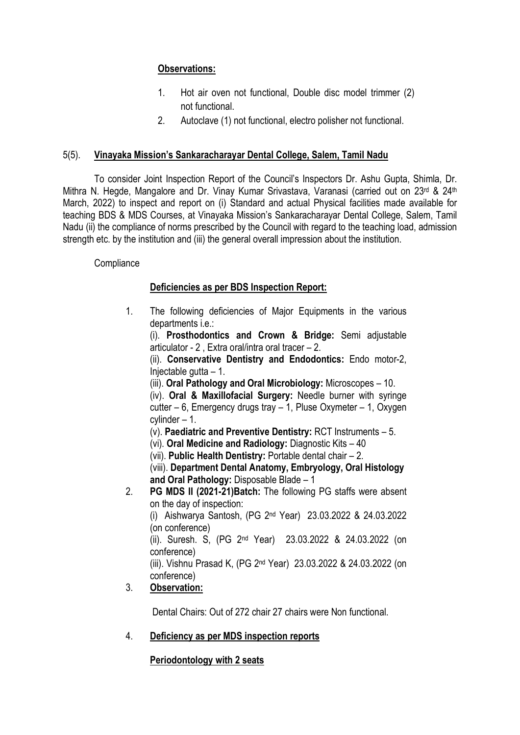## Observations:

- 1. Hot air oven not functional, Double disc model trimmer (2) not functional.
- 2. Autoclave (1) not functional, electro polisher not functional.

## 5(5). Vinayaka Mission's Sankaracharayar Dental College, Salem, Tamil Nadu

To consider Joint Inspection Report of the Council's Inspectors Dr. Ashu Gupta, Shimla, Dr. Mithra N. Hegde, Mangalore and Dr. Vinay Kumar Srivastava, Varanasi (carried out on 23<sup>rd</sup> & 24<sup>th</sup> March, 2022) to inspect and report on (i) Standard and actual Physical facilities made available for teaching BDS & MDS Courses, at Vinayaka Mission's Sankaracharayar Dental College, Salem, Tamil Nadu (ii) the compliance of norms prescribed by the Council with regard to the teaching load, admission strength etc. by the institution and (iii) the general overall impression about the institution.

**Compliance** 

## Deficiencies as per BDS Inspection Report:

1. The following deficiencies of Major Equipments in the various departments i.e.:

(i). Prosthodontics and Crown & Bridge: Semi adjustable articulator - 2 , Extra oral/intra oral tracer – 2.

(ii). Conservative Dentistry and Endodontics: Endo motor-2, Injectable gutta – 1.

(iii). Oral Pathology and Oral Microbiology: Microscopes – 10.

(iv). Oral & Maxillofacial Surgery: Needle burner with syringe cutter – 6, Emergency drugs tray – 1, Pluse Oxymeter – 1, Oxygen cylinder – 1.

(v). Paediatric and Preventive Dentistry: RCT Instruments – 5.

- (vi). Oral Medicine and Radiology: Diagnostic Kits 40
- (vii). Public Health Dentistry: Portable dental chair 2.

(viii). Department Dental Anatomy, Embryology, Oral Histology and Oral Pathology: Disposable Blade – 1

2. PG MDS II (2021-21)Batch: The following PG staffs were absent on the day of inspection:

(i) Aishwarya Santosh, (PG 2nd Year) 23.03.2022 & 24.03.2022 (on conference)

(ii). Suresh. S, (PG 2nd Year) 23.03.2022 & 24.03.2022 (on conference)

(iii). Vishnu Prasad K, (PG 2nd Year) 23.03.2022 & 24.03.2022 (on conference)

# 3. Observation:

Dental Chairs: Out of 272 chair 27 chairs were Non functional.

# 4. Deficiency as per MDS inspection reports

## Periodontology with 2 seats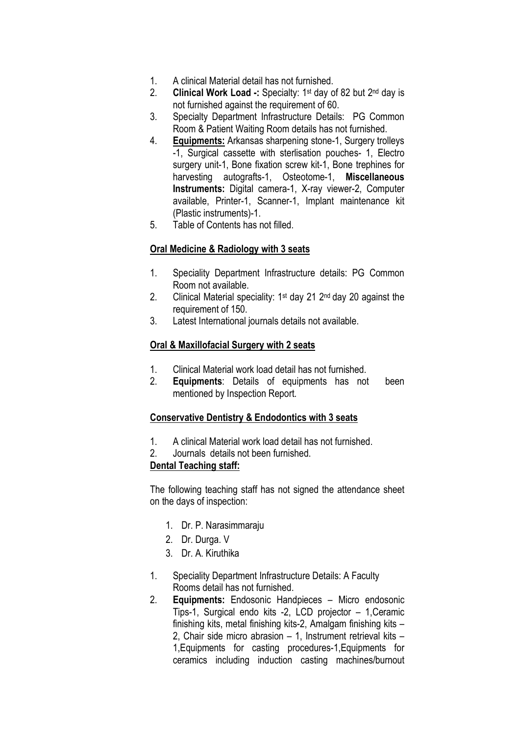- 1. A clinical Material detail has not furnished.
- 2. **Clinical Work Load -:** Specialty:  $1^{st}$  day of 82 but  $2^{nd}$  day is not furnished against the requirement of 60.
- 3. Specialty Department Infrastructure Details: PG Common Room & Patient Waiting Room details has not furnished.
- 4. Equipments: Arkansas sharpening stone-1, Surgery trolleys -1, Surgical cassette with sterlisation pouches- 1, Electro surgery unit-1, Bone fixation screw kit-1, Bone trephines for harvesting autografts-1, Osteotome-1, Miscellaneous Instruments: Digital camera-1, X-ray viewer-2, Computer available, Printer-1, Scanner-1, Implant maintenance kit (Plastic instruments)-1.
- 5. Table of Contents has not filled.

## Oral Medicine & Radiology with 3 seats

- 1. Speciality Department Infrastructure details: PG Common Room not available.
- 2. Clinical Material speciality:  $1<sup>st</sup>$  day 21  $2<sup>nd</sup>$  day 20 against the requirement of 150.
- 3. Latest International journals details not available.

### Oral & Maxillofacial Surgery with 2 seats

- 1. Clinical Material work load detail has not furnished.
- 2. Equipments: Details of equipments has not been mentioned by Inspection Report.

## Conservative Dentistry & Endodontics with 3 seats

- 1. A clinical Material work load detail has not furnished.
- 2. Journals details not been furnished.

### Dental Teaching staff:

The following teaching staff has not signed the attendance sheet on the days of inspection:

- 1. Dr. P. Narasimmaraju
- 2. Dr. Durga. V
- 3. Dr. A. Kiruthika
- 1. Speciality Department Infrastructure Details: A Faculty Rooms detail has not furnished.
- 2. Equipments: Endosonic Handpieces Micro endosonic Tips-1, Surgical endo kits -2, LCD projector – 1,Ceramic finishing kits, metal finishing kits-2, Amalgam finishing kits – 2, Chair side micro abrasion – 1, Instrument retrieval kits – 1,Equipments for casting procedures-1,Equipments for ceramics including induction casting machines/burnout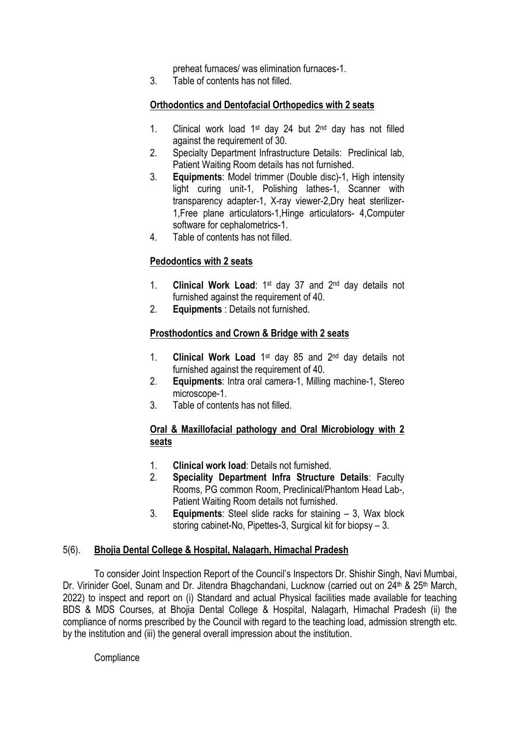preheat furnaces/ was elimination furnaces-1.

3. Table of contents has not filled.

## Orthodontics and Dentofacial Orthopedics with 2 seats

- 1. Clinical work load 1st day 24 but 2nd day has not filled against the requirement of 30.
- 2. Specialty Department Infrastructure Details: Preclinical lab, Patient Waiting Room details has not furnished.
- 3. Equipments: Model trimmer (Double disc)-1, High intensity light curing unit-1, Polishing lathes-1, Scanner with transparency adapter-1, X-ray viewer-2,Dry heat sterilizer-1,Free plane articulators-1,Hinge articulators- 4,Computer software for cephalometrics-1.
- 4. Table of contents has not filled.

## Pedodontics with 2 seats

- 1. Clinical Work Load: 1st day 37 and 2nd day details not furnished against the requirement of 40.
- 2. Equipments : Details not furnished.

## Prosthodontics and Crown & Bridge with 2 seats

- 1. **Clinical Work Load**  $1^{st}$  day 85 and  $2^{nd}$  day details not furnished against the requirement of 40.
- 2. Equipments: Intra oral camera-1, Milling machine-1, Stereo microscope-1.
- 3. Table of contents has not filled.

## Oral & Maxillofacial pathology and Oral Microbiology with 2 seats

- 1. Clinical work load: Details not furnished.
- 2. Speciality Department Infra Structure Details: Faculty Rooms, PG common Room, Preclinical/Phantom Head Lab-, Patient Waiting Room details not furnished.
- 3. Equipments: Steel slide racks for staining 3, Wax block storing cabinet-No, Pipettes-3, Surgical kit for biopsy – 3.

### 5(6). Bhojia Dental College & Hospital, Nalagarh, Himachal Pradesh

To consider Joint Inspection Report of the Council's Inspectors Dr. Shishir Singh, Navi Mumbai, Dr. Virinider Goel, Sunam and Dr. Jitendra Bhagchandani, Lucknow (carried out on 24<sup>th</sup> & 25<sup>th</sup> March, 2022) to inspect and report on (i) Standard and actual Physical facilities made available for teaching BDS & MDS Courses, at Bhojia Dental College & Hospital, Nalagarh, Himachal Pradesh (ii) the compliance of norms prescribed by the Council with regard to the teaching load, admission strength etc. by the institution and (iii) the general overall impression about the institution.

**Compliance**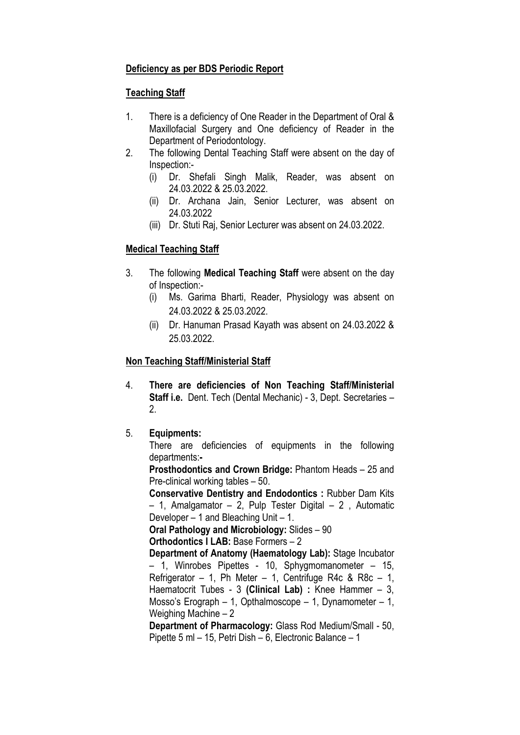## Deficiency as per BDS Periodic Report

## Teaching Staff

- 1. There is a deficiency of One Reader in the Department of Oral & Maxillofacial Surgery and One deficiency of Reader in the Department of Periodontology.
- 2. The following Dental Teaching Staff were absent on the day of Inspection:-
	- (i) Dr. Shefali Singh Malik, Reader, was absent on 24.03.2022 & 25.03.2022.
	- (ii) Dr. Archana Jain, Senior Lecturer, was absent on 24.03.2022
	- (iii) Dr. Stuti Raj, Senior Lecturer was absent on 24.03.2022.

## Medical Teaching Staff

- 3. The following Medical Teaching Staff were absent on the day of Inspection:-
	- (i) Ms. Garima Bharti, Reader, Physiology was absent on 24.03.2022 & 25.03.2022.
	- (ii) Dr. Hanuman Prasad Kayath was absent on 24.03.2022 & 25.03.2022.

## Non Teaching Staff/Ministerial Staff

4. There are deficiencies of Non Teaching Staff/Ministerial Staff i.e. Dent. Tech (Dental Mechanic) - 3, Dept. Secretaries – 2.

## 5. Equipments:

 There are deficiencies of equipments in the following departments:-

Prosthodontics and Crown Bridge: Phantom Heads – 25 and Pre-clinical working tables – 50.

Conservative Dentistry and Endodontics : Rubber Dam Kits  $-$  1, Amalgamator  $-$  2, Pulp Tester Digital  $-$  2, Automatic Developer – 1 and Bleaching Unit – 1.

Oral Pathology and Microbiology: Slides – 90

Orthodontics I LAB: Base Formers – 2

Department of Anatomy (Haematology Lab): Stage Incubator – 1, Winrobes Pipettes - 10, Sphygmomanometer – 15, Refrigerator – 1, Ph Meter – 1, Centrifuge R4c & R8c – 1, Haematocrit Tubes - 3 (Clinical Lab) : Knee Hammer – 3, Mosso's Erograph – 1, Opthalmoscope – 1, Dynamometer – 1, Weighing Machine – 2

Department of Pharmacology: Glass Rod Medium/Small - 50, Pipette 5 ml – 15, Petri Dish – 6, Electronic Balance – 1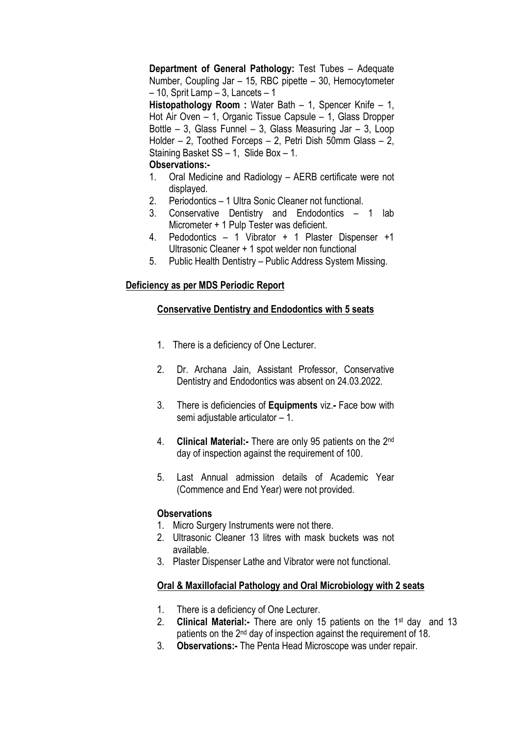Department of General Pathology: Test Tubes – Adequate Number, Coupling Jar – 15, RBC pipette – 30, Hemocytometer  $-10$ . Sprit Lamp  $-3$ . Lancets  $-1$ 

Histopathology Room : Water Bath - 1, Spencer Knife - 1, Hot Air Oven – 1, Organic Tissue Capsule – 1, Glass Dropper Bottle – 3, Glass Funnel – 3, Glass Measuring Jar – 3, Loop Holder – 2, Toothed Forceps – 2, Petri Dish 50mm Glass – 2, Staining Basket SS – 1, Slide Box – 1.

## Observations:-

- 1. Oral Medicine and Radiology AERB certificate were not displayed.
- 2. Periodontics 1 Ultra Sonic Cleaner not functional.
- 3. Conservative Dentistry and Endodontics 1 lab Micrometer + 1 Pulp Tester was deficient.
- 4. Pedodontics 1 Vibrator + 1 Plaster Dispenser +1 Ultrasonic Cleaner + 1 spot welder non functional
- 5. Public Health Dentistry Public Address System Missing.

## Deficiency as per MDS Periodic Report

## Conservative Dentistry and Endodontics with 5 seats

- 1. There is a deficiency of One Lecturer.
- 2. Dr. Archana Jain, Assistant Professor, Conservative Dentistry and Endodontics was absent on 24.03.2022.
- 3. There is deficiencies of Equipments viz.- Face bow with semi adiustable articulator - 1.
- 4. **Clinical Material:-** There are only 95 patients on the 2<sup>nd</sup> day of inspection against the requirement of 100.
- 5. Last Annual admission details of Academic Year (Commence and End Year) were not provided.

## **Observations**

- 1. Micro Surgery Instruments were not there.
- 2. Ultrasonic Cleaner 13 litres with mask buckets was not available.
- 3. Plaster Dispenser Lathe and Vibrator were not functional.

# Oral & Maxillofacial Pathology and Oral Microbiology with 2 seats

- 1. There is a deficiency of One Lecturer.
- 2. Clinical Material:- There are only 15 patients on the 1<sup>st</sup> day and 13 patients on the 2nd day of inspection against the requirement of 18.
- 3. Observations:- The Penta Head Microscope was under repair.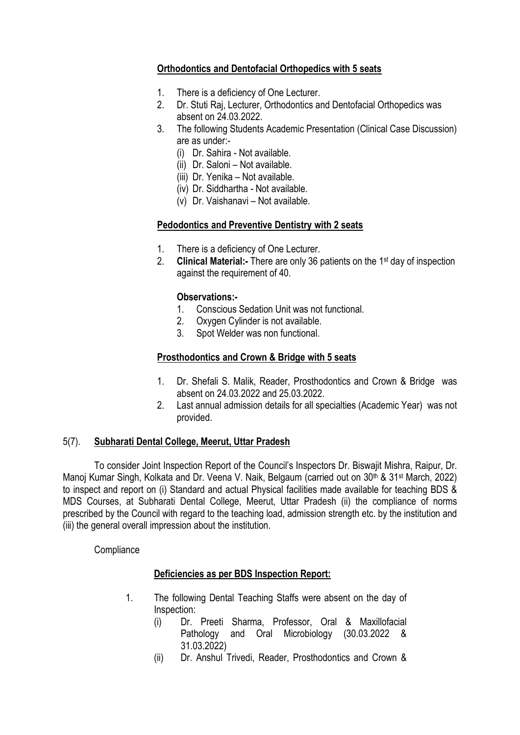## Orthodontics and Dentofacial Orthopedics with 5 seats

- 1. There is a deficiency of One Lecturer.
- 2. Dr. Stuti Raj, Lecturer, Orthodontics and Dentofacial Orthopedics was absent on 24.03.2022.
- 3. The following Students Academic Presentation (Clinical Case Discussion) are as under:-
	- (i) Dr. Sahira Not available.
	- (ii) Dr. Saloni Not available.
	- (iii) Dr. Yenika Not available.
	- (iv) Dr. Siddhartha Not available.
	- (v) Dr. Vaishanavi Not available.

## Pedodontics and Preventive Dentistry with 2 seats

- 1. There is a deficiency of One Lecturer.
- 2. Clinical Material:- There are only 36 patients on the 1<sup>st</sup> day of inspection against the requirement of 40.

### Observations:-

- 1. Conscious Sedation Unit was not functional.
- 2. Oxygen Cylinder is not available.
- 3. Spot Welder was non functional.

## Prosthodontics and Crown & Bridge with 5 seats

- 1. Dr. Shefali S. Malik, Reader, Prosthodontics and Crown & Bridge was absent on 24.03.2022 and 25.03.2022.
- 2. Last annual admission details for all specialties (Academic Year) was not provided.

### 5(7). Subharati Dental College, Meerut, Uttar Pradesh

To consider Joint Inspection Report of the Council's Inspectors Dr. Biswajit Mishra, Raipur, Dr. Manoj Kumar Singh, Kolkata and Dr. Veena V. Naik, Belgaum (carried out on 30<sup>th</sup> & 31<sup>st</sup> March, 2022) to inspect and report on (i) Standard and actual Physical facilities made available for teaching BDS & MDS Courses, at Subharati Dental College, Meerut, Uttar Pradesh (ii) the compliance of norms prescribed by the Council with regard to the teaching load, admission strength etc. by the institution and (iii) the general overall impression about the institution.

**Compliance** 

### Deficiencies as per BDS Inspection Report:

- 1. The following Dental Teaching Staffs were absent on the day of Inspection:
	- (i) Dr. Preeti Sharma, Professor, Oral & Maxillofacial Pathology and Oral Microbiology (30.03.2022 & 31.03.2022)
	- (ii) Dr. Anshul Trivedi, Reader, Prosthodontics and Crown &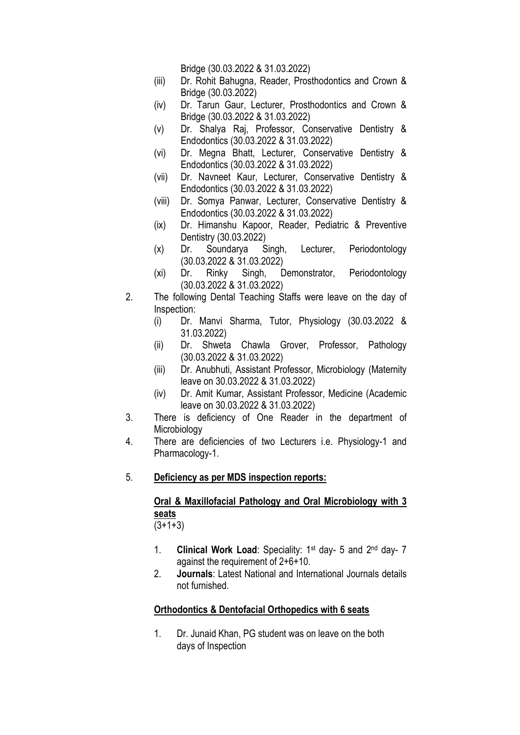Bridge (30.03.2022 & 31.03.2022)

- (iii) Dr. Rohit Bahugna, Reader, Prosthodontics and Crown & Bridge (30.03.2022)
- (iv) Dr. Tarun Gaur, Lecturer, Prosthodontics and Crown & Bridge (30.03.2022 & 31.03.2022)
- (v) Dr. Shalya Raj, Professor, Conservative Dentistry & Endodontics (30.03.2022 & 31.03.2022)
- (vi) Dr. Megna Bhatt, Lecturer, Conservative Dentistry & Endodontics (30.03.2022 & 31.03.2022)
- (vii) Dr. Navneet Kaur, Lecturer, Conservative Dentistry & Endodontics (30.03.2022 & 31.03.2022)
- (viii) Dr. Somya Panwar, Lecturer, Conservative Dentistry & Endodontics (30.03.2022 & 31.03.2022)
- (ix) Dr. Himanshu Kapoor, Reader, Pediatric & Preventive Dentistry (30.03.2022)
- (x) Dr. Soundarya Singh, Lecturer, Periodontology (30.03.2022 & 31.03.2022)
- (xi) Dr. Rinky Singh, Demonstrator, Periodontology (30.03.2022 & 31.03.2022)
- 2. The following Dental Teaching Staffs were leave on the day of Inspection:
	- (i) Dr. Manvi Sharma, Tutor, Physiology (30.03.2022 & 31.03.2022)
	- (ii) Dr. Shweta Chawla Grover, Professor, Pathology (30.03.2022 & 31.03.2022)
	- (iii) Dr. Anubhuti, Assistant Professor, Microbiology (Maternity leave on 30.03.2022 & 31.03.2022)
	- (iv) Dr. Amit Kumar, Assistant Professor, Medicine (Academic leave on 30.03.2022 & 31.03.2022)
- 3. There is deficiency of One Reader in the department of Microbiology
- 4. There are deficiencies of two Lecturers i.e. Physiology-1 and Pharmacology-1.
- 5. Deficiency as per MDS inspection reports:

# Oral & Maxillofacial Pathology and Oral Microbiology with 3 seats

 $(3+1+3)$ 

- 1. Clinical Work Load: Speciality: 1<sup>st</sup> day- 5 and 2<sup>nd</sup> day- 7 against the requirement of 2+6+10.
- 2. Journals: Latest National and International Journals details not furnished.

## Orthodontics & Dentofacial Orthopedics with 6 seats

1. Dr. Junaid Khan, PG student was on leave on the both days of Inspection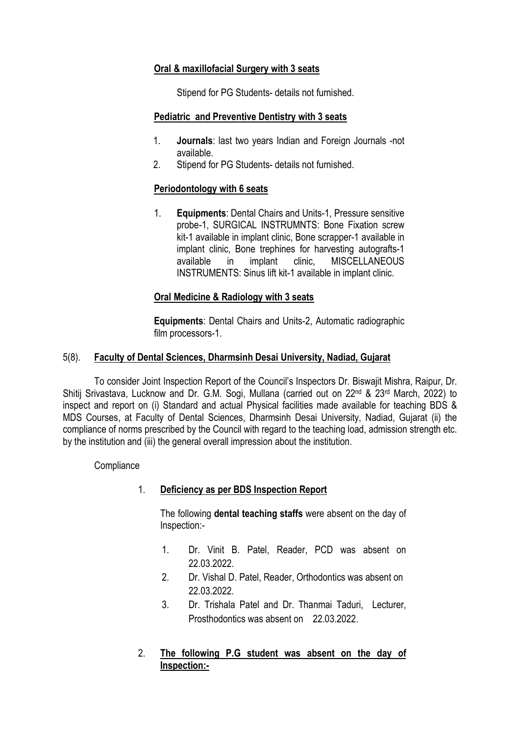## Oral & maxillofacial Surgery with 3 seats

Stipend for PG Students- details not furnished.

## Pediatric and Preventive Dentistry with 3 seats

- 1. Journals: last two years Indian and Foreign Journals -not available.
- 2. Stipend for PG Students- details not furnished.

## Periodontology with 6 seats

1. Equipments: Dental Chairs and Units-1, Pressure sensitive probe-1, SURGICAL INSTRUMNTS: Bone Fixation screw kit-1 available in implant clinic, Bone scrapper-1 available in implant clinic, Bone trephines for harvesting autografts-1 available in implant clinic, MISCELLANEOUS INSTRUMENTS: Sinus lift kit-1 available in implant clinic.

## Oral Medicine & Radiology with 3 seats

Equipments: Dental Chairs and Units-2, Automatic radiographic film processors-1.

## 5(8). Faculty of Dental Sciences, Dharmsinh Desai University, Nadiad, Gujarat

To consider Joint Inspection Report of the Council's Inspectors Dr. Biswajit Mishra, Raipur, Dr. Shitij Srivastava, Lucknow and Dr. G.M. Sogi, Mullana (carried out on 22nd & 23rd March, 2022) to inspect and report on (i) Standard and actual Physical facilities made available for teaching BDS & MDS Courses, at Faculty of Dental Sciences, Dharmsinh Desai University, Nadiad, Gujarat (ii) the compliance of norms prescribed by the Council with regard to the teaching load, admission strength etc. by the institution and (iii) the general overall impression about the institution.

**Compliance** 

## 1. Deficiency as per BDS Inspection Report

The following dental teaching staffs were absent on the day of Inspection:-

- 1. Dr. Vinit B. Patel, Reader, PCD was absent on 22.03.2022.
- 2. Dr. Vishal D. Patel, Reader, Orthodontics was absent on 22.03.2022.
- 3. Dr. Trishala Patel and Dr. Thanmai Taduri, Lecturer, Prosthodontics was absent on 22.03.2022.

## 2. The following P.G student was absent on the day of Inspection:-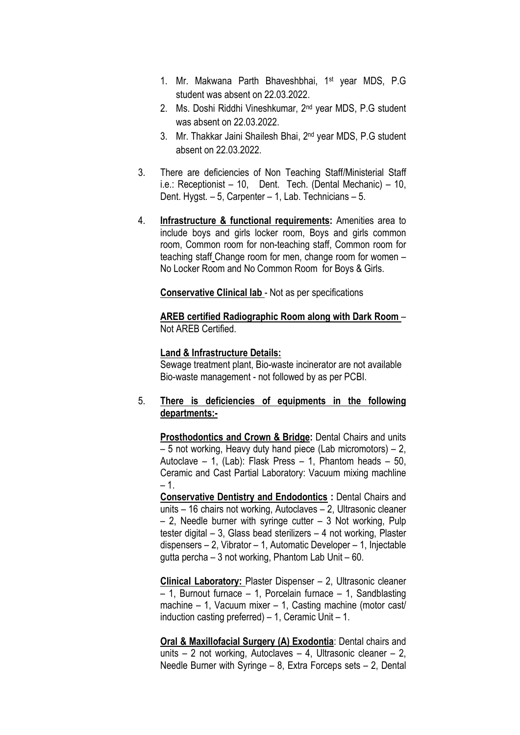- 1. Mr. Makwana Parth Bhaveshbhai, 1st year MDS, P.G student was absent on 22.03.2022.
- 2. Ms. Doshi Riddhi Vineshkumar, 2nd year MDS, P.G student was absent on 22.03.2022.
- 3. Mr. Thakkar Jaini Shailesh Bhai, 2nd year MDS, P.G student absent on 22.03.2022.
- 3. There are deficiencies of Non Teaching Staff/Ministerial Staff i.e.: Receptionist – 10, Dent. Tech. (Dental Mechanic) – 10, Dent. Hygst. – 5, Carpenter – 1, Lab. Technicians – 5.
- 4. Infrastructure & functional requirements: Amenities area to include boys and girls locker room, Boys and girls common room, Common room for non-teaching staff, Common room for teaching staff Change room for men, change room for women – No Locker Room and No Common Room for Boys & Girls.

Conservative Clinical lab - Not as per specifications

AREB certified Radiographic Room along with Dark Room – Not AREB Certified.

#### Land & Infrastructure Details:

Sewage treatment plant, Bio-waste incinerator are not available Bio-waste management - not followed by as per PCBI.

### 5. There is deficiencies of equipments in the following departments:-

Prosthodontics and Crown & Bridge: Dental Chairs and units – 5 not working, Heavy duty hand piece (Lab micromotors) – 2, Autoclave – 1, (Lab): Flask Press – 1, Phantom heads – 50, Ceramic and Cast Partial Laboratory: Vacuum mixing machline  $-1.$ 

Conservative Dentistry and Endodontics : Dental Chairs and units – 16 chairs not working, Autoclaves – 2, Ultrasonic cleaner – 2, Needle burner with syringe cutter – 3 Not working, Pulp tester digital – 3, Glass bead sterilizers – 4 not working, Plaster dispensers – 2, Vibrator – 1, Automatic Developer – 1, Injectable gutta percha – 3 not working, Phantom Lab Unit – 60.

Clinical Laboratory: Plaster Dispenser – 2, Ultrasonic cleaner – 1, Burnout furnace – 1, Porcelain furnace – 1, Sandblasting machine – 1, Vacuum mixer – 1, Casting machine (motor cast/ induction casting preferred) – 1, Ceramic Unit – 1.

Oral & Maxillofacial Surgery (A) Exodontia: Dental chairs and units – 2 not working, Autoclaves – 4, Ultrasonic cleaner – 2, Needle Burner with Syringe – 8, Extra Forceps sets – 2, Dental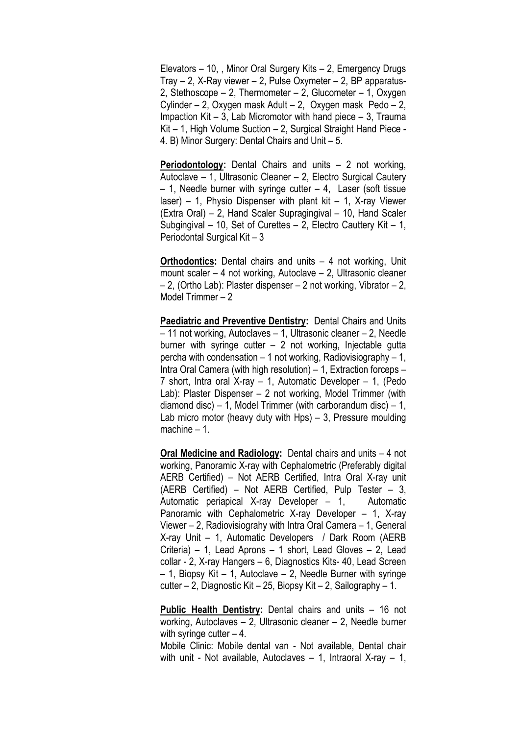Elevators – 10, , Minor Oral Surgery Kits – 2, Emergency Drugs Tray  $-$  2, X-Ray viewer  $-$  2, Pulse Oxymeter  $-$  2, BP apparatus-2, Stethoscope – 2, Thermometer – 2, Glucometer – 1, Oxygen Cylinder – 2, Oxygen mask Adult – 2, Oxygen mask Pedo – 2, Impaction Kit – 3, Lab Micromotor with hand piece – 3, Trauma Kit – 1, High Volume Suction – 2, Surgical Straight Hand Piece - 4. B) Minor Surgery: Dental Chairs and Unit – 5.

Periodontology: Dental Chairs and units – 2 not working, Autoclave – 1, Ultrasonic Cleaner – 2, Electro Surgical Cautery  $-$  1, Needle burner with syringe cutter  $-$  4, Laser (soft tissue laser) – 1, Physio Dispenser with plant kit – 1, X-ray Viewer (Extra Oral) – 2, Hand Scaler Supragingival – 10, Hand Scaler Subgingival – 10, Set of Curettes – 2, Electro Cauttery Kit – 1, Periodontal Surgical Kit – 3

Orthodontics: Dental chairs and units – 4 not working, Unit mount scaler – 4 not working, Autoclave – 2, Ultrasonic cleaner – 2, (Ortho Lab): Plaster dispenser – 2 not working, Vibrator – 2, Model Trimmer – 2

Paediatric and Preventive Dentistry: Dental Chairs and Units – 11 not working, Autoclaves – 1, Ultrasonic cleaner – 2, Needle burner with syringe cutter  $-2$  not working, Injectable gutta percha with condensation  $-1$  not working, Radiovisiography  $-1$ , Intra Oral Camera (with high resolution) – 1, Extraction forceps – 7 short, Intra oral X-ray – 1, Automatic Developer – 1, (Pedo Lab): Plaster Dispenser – 2 not working, Model Trimmer (with diamond disc) – 1, Model Trimmer (with carborandum disc) – 1, Lab micro motor (heavy duty with Hps) – 3. Pressure moulding machine – 1.

Oral Medicine and Radiology: Dental chairs and units – 4 not working, Panoramic X-ray with Cephalometric (Preferably digital AERB Certified) – Not AERB Certified, Intra Oral X-ray unit (AERB Certified) – Not AERB Certified, Pulp Tester – 3, Automatic periapical X-ray Developer – 1, Automatic Panoramic with Cephalometric X-ray Developer – 1, X-ray Viewer – 2, Radiovisiograhy with Intra Oral Camera – 1, General X-ray Unit – 1, Automatic Developers / Dark Room (AERB Criteria) – 1, Lead Aprons – 1 short, Lead Gloves – 2, Lead collar - 2, X-ray Hangers – 6, Diagnostics Kits- 40, Lead Screen  $-$  1, Biopsy Kit  $-$  1, Autoclave  $-$  2, Needle Burner with syringe cutter – 2, Diagnostic Kit – 25, Biopsy Kit – 2, Sailography – 1.

Public Health Dentistry: Dental chairs and units – 16 not working, Autoclaves – 2, Ultrasonic cleaner – 2, Needle burner with syringe cutter  $-4$ .

Mobile Clinic: Mobile dental van - Not available, Dental chair with unit - Not available, Autoclaves – 1, Intraoral X-ray – 1,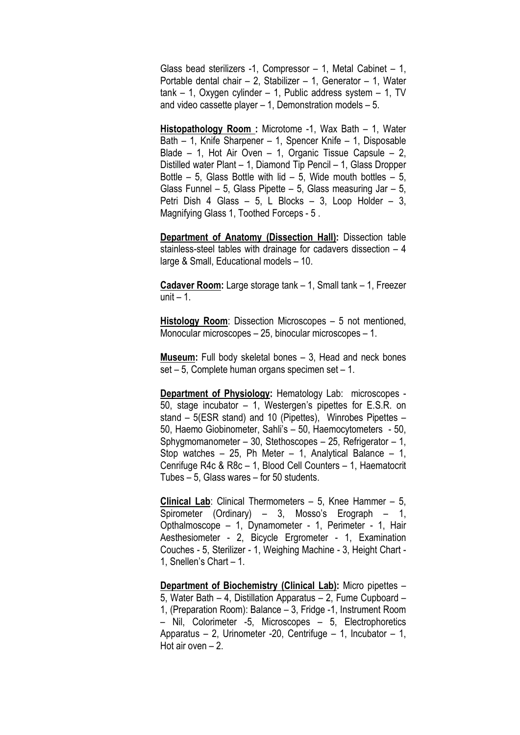Glass bead sterilizers -1, Compressor – 1, Metal Cabinet – 1, Portable dental chair  $- 2$ , Stabilizer  $- 1$ , Generator  $- 1$ , Water  $tank - 1$ , Oxygen cylinder – 1, Public address system – 1, TV and video cassette player  $-1$ , Demonstration models  $-5$ .

Histopathology Room : Microtome -1, Wax Bath – 1, Water Bath – 1, Knife Sharpener – 1, Spencer Knife – 1, Disposable Blade – 1, Hot Air Oven – 1, Organic Tissue Capsule – 2, Distilled water Plant – 1, Diamond Tip Pencil – 1, Glass Dropper Bottle  $-5$ , Glass Bottle with lid  $-5$ , Wide mouth bottles  $-5$ , Glass Funnel – 5, Glass Pipette – 5, Glass measuring Jar – 5, Petri Dish 4 Glass – 5, L Blocks – 3, Loop Holder – 3, Magnifying Glass 1, Toothed Forceps - 5 .

Department of Anatomy (Dissection Hall): Dissection table stainless-steel tables with drainage for cadavers dissection – 4 large & Small, Educational models – 10.

Cadaver Room: Large storage tank – 1, Small tank – 1, Freezer unit  $-1$ .

Histology Room: Dissection Microscopes – 5 not mentioned, Monocular microscopes – 25, binocular microscopes – 1.

Museum: Full body skeletal bones – 3, Head and neck bones set – 5, Complete human organs specimen set – 1.

Department of Physiology: Hematology Lab: microscopes - 50, stage incubator – 1, Westergen's pipettes for E.S.R. on stand – 5(ESR stand) and 10 (Pipettes), Winrobes Pipettes – 50, Haemo Giobinometer, Sahli's – 50, Haemocytometers - 50, Sphygmomanometer – 30, Stethoscopes – 25, Refrigerator – 1, Stop watches – 25, Ph Meter – 1, Analytical Balance – 1, Cenrifuge R4c & R8c – 1, Blood Cell Counters – 1, Haematocrit Tubes – 5, Glass wares – for 50 students.

Clinical Lab: Clinical Thermometers – 5, Knee Hammer – 5, Spirometer (Ordinary) – 3, Mosso's Erograph – 1, Opthalmoscope – 1, Dynamometer - 1, Perimeter - 1, Hair Aesthesiometer - 2, Bicycle Ergrometer - 1, Examination Couches - 5, Sterilizer - 1, Weighing Machine - 3, Height Chart - 1, Snellen's Chart – 1.

Department of Biochemistry (Clinical Lab): Micro pipettes – 5, Water Bath – 4, Distillation Apparatus – 2, Fume Cupboard – 1, (Preparation Room): Balance – 3, Fridge -1, Instrument Room – Nil, Colorimeter -5, Microscopes – 5, Electrophoretics Apparatus – 2, Urinometer -20, Centrifuge – 1, Incubator – 1, Hot air oven – 2.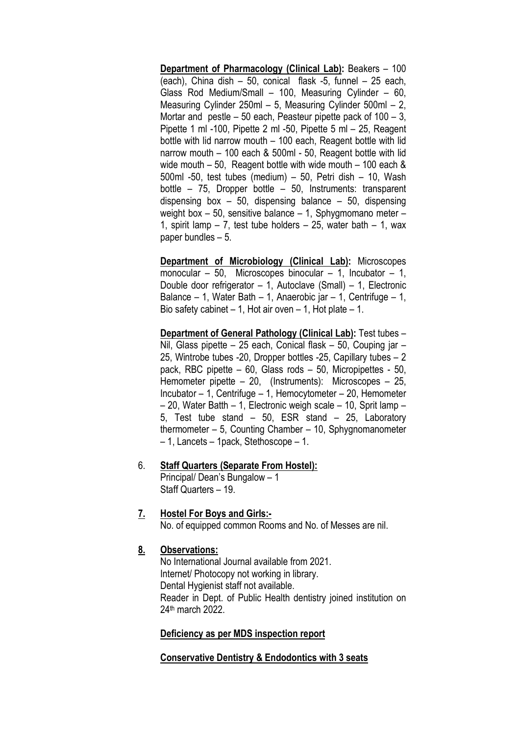Department of Pharmacology (Clinical Lab): Beakers – 100 (each), China dish – 50, conical flask -5, funnel – 25 each, Glass Rod Medium/Small – 100, Measuring Cylinder – 60, Measuring Cylinder 250ml – 5, Measuring Cylinder 500ml – 2, Mortar and pestle – 50 each, Peasteur pipette pack of 100 – 3, Pipette 1 ml -100, Pipette 2 ml -50, Pipette 5 ml – 25, Reagent bottle with lid narrow mouth – 100 each, Reagent bottle with lid narrow mouth – 100 each & 500ml - 50, Reagent bottle with lid wide mouth – 50, Reagent bottle with wide mouth – 100 each & 500ml -50, test tubes (medium) – 50, Petri dish – 10, Wash bottle – 75, Dropper bottle – 50, Instruments: transparent dispensing box  $-50$ , dispensing balance  $-50$ , dispensing weight box – 50, sensitive balance – 1, Sphygmomano meter – 1, spirit lamp  $-7$ , test tube holders  $-25$ , water bath  $-1$ , wax paper bundles – 5.

Department of Microbiology (Clinical Lab): Microscopes monocular – 50, Microscopes binocular – 1, Incubator – 1, Double door refrigerator – 1, Autoclave (Small) – 1, Electronic Balance – 1, Water Bath – 1, Anaerobic jar – 1, Centrifuge – 1, Bio safety cabinet  $-1$ , Hot air oven  $-1$ , Hot plate  $-1$ .

Department of General Pathology (Clinical Lab): Test tubes – Nil, Glass pipette – 25 each, Conical flask – 50, Couping jar – 25, Wintrobe tubes -20, Dropper bottles -25, Capillary tubes – 2 pack, RBC pipette – 60, Glass rods – 50, Micropipettes - 50, Hemometer pipette – 20, (Instruments): Microscopes – 25, Incubator – 1, Centrifuge – 1, Hemocytometer – 20, Hemometer – 20, Water Batth – 1, Electronic weigh scale – 10, Sprit lamp – 5, Test tube stand – 50, ESR stand – 25, Laboratory thermometer – 5, Counting Chamber – 10, Sphygnomanometer – 1, Lancets – 1pack, Stethoscope – 1.

#### 6. Staff Quarters (Separate From Hostel):

Principal/ Dean's Bungalow – 1 Staff Quarters – 19.

### 7. Hostel For Boys and Girls:-

No. of equipped common Rooms and No. of Messes are nil.

## 8. Observations:

No International Journal available from 2021. Internet/ Photocopy not working in library. Dental Hygienist staff not available. Reader in Dept. of Public Health dentistry joined institution on 24th march 2022.

### Deficiency as per MDS inspection report

### Conservative Dentistry & Endodontics with 3 seats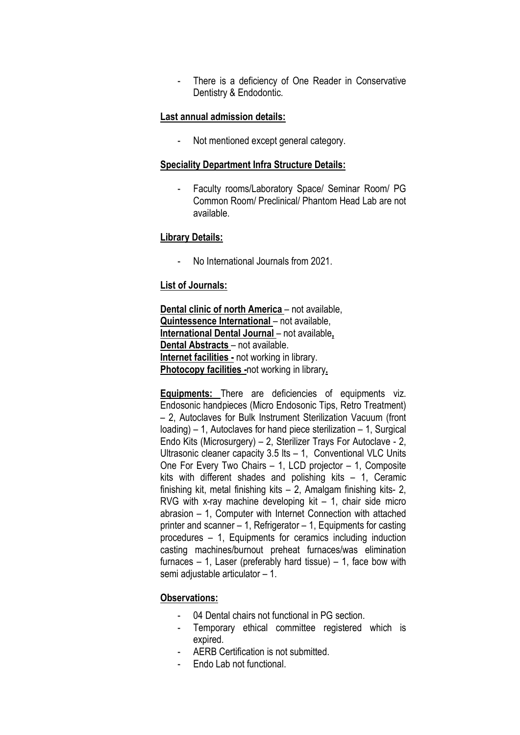- There is a deficiency of One Reader in Conservative Dentistry & Endodontic.

#### Last annual admission details:

- Not mentioned except general category.

#### Speciality Department Infra Structure Details:

- Faculty rooms/Laboratory Space/ Seminar Room/ PG Common Room/ Preclinical/ Phantom Head Lab are not available.

#### Library Details:

- No International Journals from 2021.

#### List of Journals:

Dental clinic of north America – not available, Quintessence International – not available, International Dental Journal – not available, Dental Abstracts – not available. Internet facilities - not working in library. Photocopy facilities -not working in library.

Equipments: There are deficiencies of equipments viz. Endosonic handpieces (Micro Endosonic Tips, Retro Treatment) – 2, Autoclaves for Bulk Instrument Sterilization Vacuum (front loading) – 1, Autoclaves for hand piece sterilization – 1, Surgical Endo Kits (Microsurgery) – 2, Sterilizer Trays For Autoclave - 2, Ultrasonic cleaner capacity 3.5 lts – 1, Conventional VLC Units One For Every Two Chairs – 1, LCD projector – 1, Composite kits with different shades and polishing kits – 1, Ceramic finishing kit, metal finishing kits – 2, Amalgam finishing kits- 2, RVG with x-ray machine developing kit – 1, chair side micro abrasion – 1, Computer with Internet Connection with attached printer and scanner – 1, Refrigerator – 1, Equipments for casting procedures – 1, Equipments for ceramics including induction casting machines/burnout preheat furnaces/was elimination furnaces  $-1$ , Laser (preferably hard tissue)  $-1$ , face bow with semi adjustable articulator – 1.

### Observations:

- 04 Dental chairs not functional in PG section.
- Temporary ethical committee registered which is expired.
- AERB Certification is not submitted.
- Endo Lab not functional.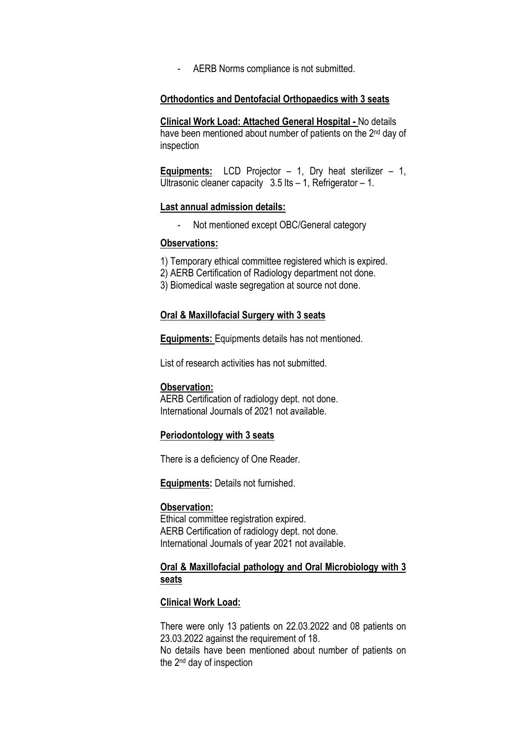- AERB Norms compliance is not submitted.

#### Orthodontics and Dentofacial Orthopaedics with 3 seats

Clinical Work Load: Attached General Hospital - No details have been mentioned about number of patients on the 2<sup>nd</sup> day of inspection

**Equipments:** LCD Projector  $-1$ , Dry heat sterilizer  $-1$ , Ultrasonic cleaner capacity  $3.5$  lts  $-1$ , Refrigerator  $-1$ .

#### Last annual admission details:

- Not mentioned except OBC/General category

### Observations:

- 1) Temporary ethical committee registered which is expired.
- 2) AERB Certification of Radiology department not done.
- 3) Biomedical waste segregation at source not done.

#### Oral & Maxillofacial Surgery with 3 seats

Equipments: Equipments details has not mentioned.

List of research activities has not submitted.

#### Observation:

AERB Certification of radiology dept. not done. International Journals of 2021 not available.

#### Periodontology with 3 seats

There is a deficiency of One Reader.

Equipments: Details not furnished.

#### Observation:

Ethical committee registration expired. AERB Certification of radiology dept. not done. International Journals of year 2021 not available.

## Oral & Maxillofacial pathology and Oral Microbiology with 3 seats

#### Clinical Work Load:

There were only 13 patients on 22.03.2022 and 08 patients on 23.03.2022 against the requirement of 18.

No details have been mentioned about number of patients on the 2nd day of inspection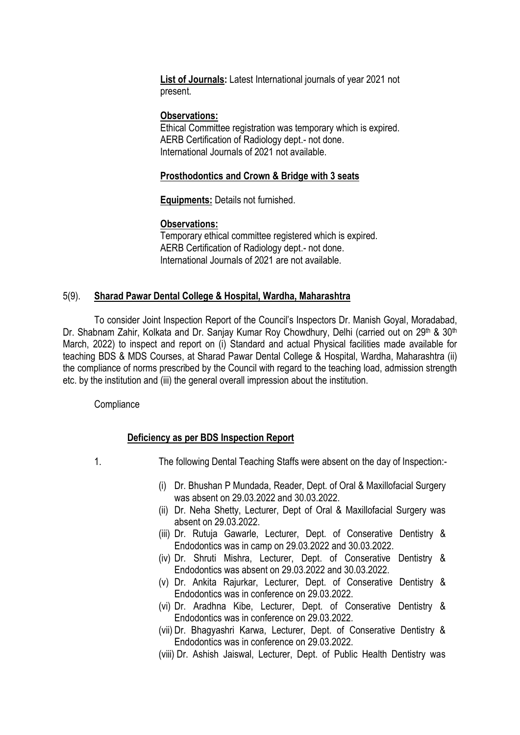List of Journals: Latest International journals of year 2021 not present.

### Observations:

Ethical Committee registration was temporary which is expired. AERB Certification of Radiology dept.- not done. International Journals of 2021 not available.

### Prosthodontics and Crown & Bridge with 3 seats

Equipments: Details not furnished.

### Observations:

Temporary ethical committee registered which is expired. AERB Certification of Radiology dept.- not done. International Journals of 2021 are not available.

### 5(9). Sharad Pawar Dental College & Hospital, Wardha, Maharashtra

To consider Joint Inspection Report of the Council's Inspectors Dr. Manish Goyal, Moradabad, Dr. Shabnam Zahir, Kolkata and Dr. Sanjay Kumar Roy Chowdhury, Delhi (carried out on 29<sup>th</sup> & 30<sup>th</sup> March, 2022) to inspect and report on (i) Standard and actual Physical facilities made available for teaching BDS & MDS Courses, at Sharad Pawar Dental College & Hospital, Wardha, Maharashtra (ii) the compliance of norms prescribed by the Council with regard to the teaching load, admission strength etc. by the institution and (iii) the general overall impression about the institution.

### **Compliance**

## Deficiency as per BDS Inspection Report

1. The following Dental Teaching Staffs were absent on the day of Inspection:-

- (i) Dr. Bhushan P Mundada, Reader, Dept. of Oral & Maxillofacial Surgery was absent on 29.03.2022 and 30.03.2022.
- (ii) Dr. Neha Shetty, Lecturer, Dept of Oral & Maxillofacial Surgery was absent on 29.03.2022.
- (iii) Dr. Rutuja Gawarle, Lecturer, Dept. of Conserative Dentistry & Endodontics was in camp on 29.03.2022 and 30.03.2022.
- (iv) Dr. Shruti Mishra, Lecturer, Dept. of Conserative Dentistry & Endodontics was absent on 29.03.2022 and 30.03.2022.
- (v) Dr. Ankita Rajurkar, Lecturer, Dept. of Conserative Dentistry & Endodontics was in conference on 29.03.2022.
- (vi) Dr. Aradhna Kibe, Lecturer, Dept. of Conserative Dentistry & Endodontics was in conference on 29.03.2022.
- (vii) Dr. Bhagyashri Karwa, Lecturer, Dept. of Conserative Dentistry & Endodontics was in conference on 29.03.2022.

(viii) Dr. Ashish Jaiswal, Lecturer, Dept. of Public Health Dentistry was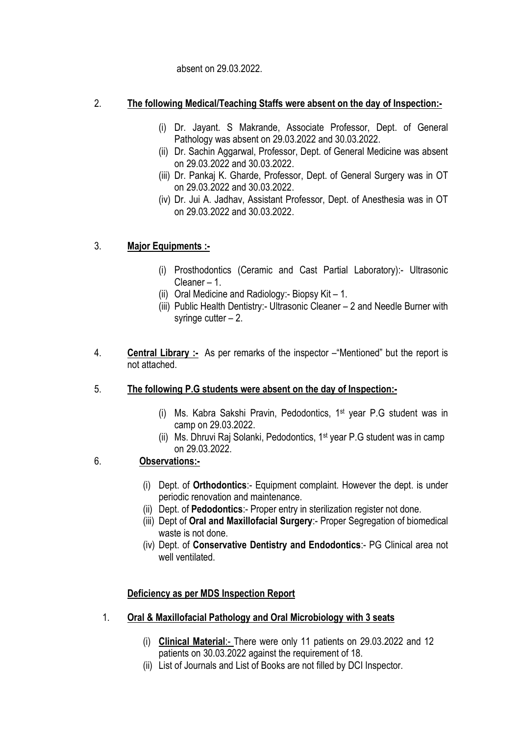absent on 29.03.2022.

## 2. The following Medical/Teaching Staffs were absent on the day of Inspection:-

- (i) Dr. Jayant. S Makrande, Associate Professor, Dept. of General Pathology was absent on 29.03.2022 and 30.03.2022.
- (ii) Dr. Sachin Aggarwal, Professor, Dept. of General Medicine was absent on 29.03.2022 and 30.03.2022.
- (iii) Dr. Pankaj K. Gharde, Professor, Dept. of General Surgery was in OT on 29.03.2022 and 30.03.2022.
- (iv) Dr. Jui A. Jadhav, Assistant Professor, Dept. of Anesthesia was in OT on 29.03.2022 and 30.03.2022.

# 3. Major Equipments :-

- (i) Prosthodontics (Ceramic and Cast Partial Laboratory):- Ultrasonic Cleaner – 1.
- (ii) Oral Medicine and Radiology:- Biopsy Kit 1.
- (iii) Public Health Dentistry:- Ultrasonic Cleaner 2 and Needle Burner with syringe cutter  $-2$ .
- 4. **Central Library :-** As per remarks of the inspector "Mentioned" but the report is not attached.
- 5. The following P.G students were absent on the day of Inspection:-
	- (i) Ms. Kabra Sakshi Pravin, Pedodontics, 1st year P.G student was in camp on 29.03.2022.
	- (ii) Ms. Dhruvi Raj Solanki, Pedodontics, 1st year P.G student was in camp on 29.03.2022.

# 6. Observations:-

- (i) Dept. of Orthodontics:- Equipment complaint. However the dept. is under periodic renovation and maintenance.
- (ii) Dept. of Pedodontics:- Proper entry in sterilization register not done.
- (iii) Dept of Oral and Maxillofacial Surgery:- Proper Segregation of biomedical waste is not done.
- (iv) Dept. of Conservative Dentistry and Endodontics:- PG Clinical area not well ventilated.

# Deficiency as per MDS Inspection Report

- 1. Oral & Maxillofacial Pathology and Oral Microbiology with 3 seats
	- (i) Clinical Material:- There were only 11 patients on 29.03.2022 and 12 patients on 30.03.2022 against the requirement of 18.
	- (ii) List of Journals and List of Books are not filled by DCI Inspector.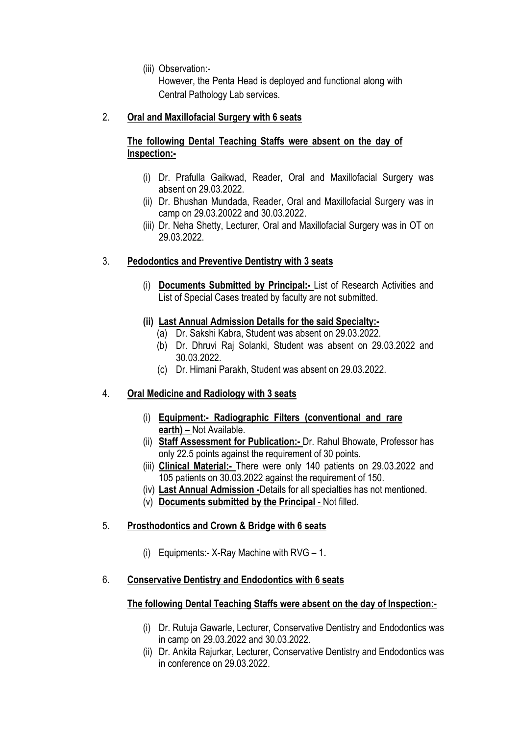(iii) Observation:-

However, the Penta Head is deployed and functional along with Central Pathology Lab services.

# 2. Oral and Maxillofacial Surgery with 6 seats

# The following Dental Teaching Staffs were absent on the day of Inspection:-

- (i) Dr. Prafulla Gaikwad, Reader, Oral and Maxillofacial Surgery was absent on 29.03.2022.
- (ii) Dr. Bhushan Mundada, Reader, Oral and Maxillofacial Surgery was in camp on 29.03.20022 and 30.03.2022.
- (iii) Dr. Neha Shetty, Lecturer, Oral and Maxillofacial Surgery was in OT on 29.03.2022.

# 3. Pedodontics and Preventive Dentistry with 3 seats

(i) Documents Submitted by Principal:- List of Research Activities and List of Special Cases treated by faculty are not submitted.

# (ii) Last Annual Admission Details for the said Specialty:-

- (a) Dr. Sakshi Kabra, Student was absent on 29.03.2022.
- (b) Dr. Dhruvi Raj Solanki, Student was absent on 29.03.2022 and 30.03.2022.
- (c) Dr. Himani Parakh, Student was absent on 29.03.2022.

# 4. Oral Medicine and Radiology with 3 seats

- (i) Equipment:- Radiographic Filters (conventional and rare earth) – Not Available.
- (ii) Staff Assessment for Publication:- Dr. Rahul Bhowate, Professor has only 22.5 points against the requirement of 30 points.
- (iii) Clinical Material:- There were only 140 patients on 29.03.2022 and 105 patients on 30.03.2022 against the requirement of 150.
- (iv) Last Annual Admission -Details for all specialties has not mentioned.
- (v) Documents submitted by the Principal Not filled.

# 5. Prosthodontics and Crown & Bridge with 6 seats

(i) Equipments:- X-Ray Machine with RVG – 1.

# 6. Conservative Dentistry and Endodontics with 6 seats

# The following Dental Teaching Staffs were absent on the day of Inspection:-

- (i) Dr. Rutuja Gawarle, Lecturer, Conservative Dentistry and Endodontics was in camp on 29.03.2022 and 30.03.2022.
- (ii) Dr. Ankita Rajurkar, Lecturer, Conservative Dentistry and Endodontics was in conference on 29.03.2022.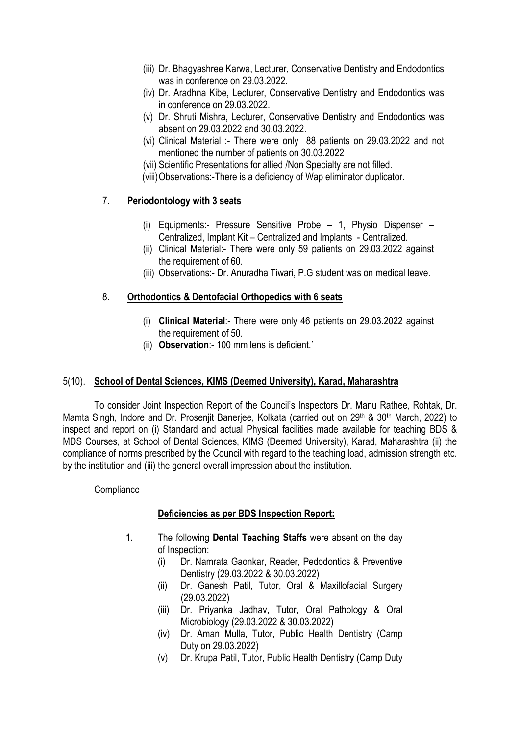- (iii) Dr. Bhagyashree Karwa, Lecturer, Conservative Dentistry and Endodontics was in conference on 29.03.2022.
- (iv) Dr. Aradhna Kibe, Lecturer, Conservative Dentistry and Endodontics was in conference on 29.03.2022.
- (v) Dr. Shruti Mishra, Lecturer, Conservative Dentistry and Endodontics was absent on 29.03.2022 and 30.03.2022.
- (vi) Clinical Material :- There were only 88 patients on 29.03.2022 and not mentioned the number of patients on 30.03.2022
- (vii) Scientific Presentations for allied /Non Specialty are not filled.
- (viii)Observations:-There is a deficiency of Wap eliminator duplicator.

## 7. Periodontology with 3 seats

- (i) Equipments:- Pressure Sensitive Probe 1, Physio Dispenser Centralized, Implant Kit – Centralized and Implants - Centralized.
- (ii) Clinical Material:- There were only 59 patients on 29.03.2022 against the requirement of 60.
- (iii) Observations:- Dr. Anuradha Tiwari, P.G student was on medical leave.

## 8. Orthodontics & Dentofacial Orthopedics with 6 seats

- (i) Clinical Material:- There were only 46 patients on 29.03.2022 against the requirement of 50.
- (ii) Observation:- 100 mm lens is deficient.`

## 5(10). School of Dental Sciences, KIMS (Deemed University), Karad, Maharashtra

To consider Joint Inspection Report of the Council's Inspectors Dr. Manu Rathee, Rohtak, Dr. Mamta Singh, Indore and Dr. Prosenjit Banerjee, Kolkata (carried out on 29<sup>th</sup> & 30<sup>th</sup> March, 2022) to inspect and report on (i) Standard and actual Physical facilities made available for teaching BDS & MDS Courses, at School of Dental Sciences, KIMS (Deemed University), Karad, Maharashtra (ii) the compliance of norms prescribed by the Council with regard to the teaching load, admission strength etc. by the institution and (iii) the general overall impression about the institution.

## **Compliance**

## Deficiencies as per BDS Inspection Report:

- 1. The following Dental Teaching Staffs were absent on the day of Inspection:
	- (i) Dr. Namrata Gaonkar, Reader, Pedodontics & Preventive Dentistry (29.03.2022 & 30.03.2022)
	- (ii) Dr. Ganesh Patil, Tutor, Oral & Maxillofacial Surgery (29.03.2022)
	- (iii) Dr. Priyanka Jadhav, Tutor, Oral Pathology & Oral Microbiology (29.03.2022 & 30.03.2022)
	- (iv) Dr. Aman Mulla, Tutor, Public Health Dentistry (Camp Duty on 29.03.2022)
	- (v) Dr. Krupa Patil, Tutor, Public Health Dentistry (Camp Duty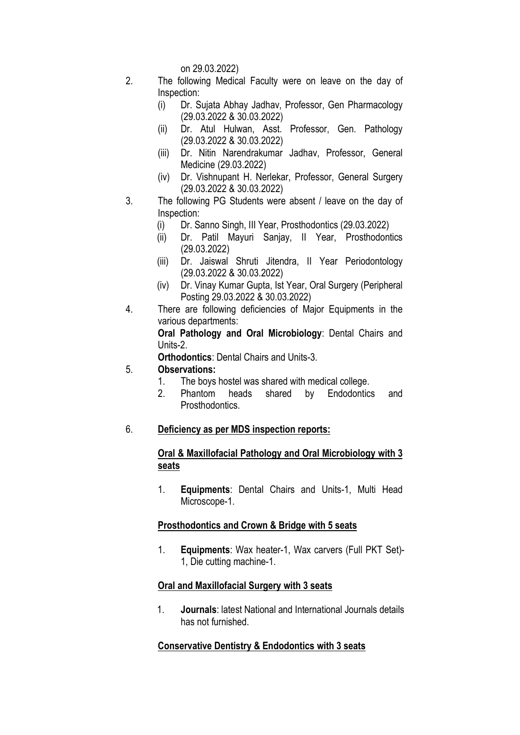on 29.03.2022)

- 2. The following Medical Faculty were on leave on the day of Inspection:
	- (i) Dr. Sujata Abhay Jadhav, Professor, Gen Pharmacology (29.03.2022 & 30.03.2022)
	- (ii) Dr. Atul Hulwan, Asst. Professor, Gen. Pathology (29.03.2022 & 30.03.2022)
	- (iii) Dr. Nitin Narendrakumar Jadhav, Professor, General Medicine (29.03.2022)
	- (iv) Dr. Vishnupant H. Nerlekar, Professor, General Surgery (29.03.2022 & 30.03.2022)
- 3. The following PG Students were absent / leave on the day of Inspection:
	- (i) Dr. Sanno Singh, III Year, Prosthodontics (29.03.2022)
	- (ii) Dr. Patil Mayuri Sanjay, II Year, Prosthodontics (29.03.2022)
	- (iii) Dr. Jaiswal Shruti Jitendra, II Year Periodontology (29.03.2022 & 30.03.2022)
	- (iv) Dr. Vinay Kumar Gupta, Ist Year, Oral Surgery (Peripheral Posting 29.03.2022 & 30.03.2022)
- 4. There are following deficiencies of Major Equipments in the various departments:

Oral Pathology and Oral Microbiology: Dental Chairs and Units-2.

Orthodontics: Dental Chairs and Units-3.

## 5. Observations:

- 1. The boys hostel was shared with medical college.
- 2. Phantom heads shared by Endodontics and Prosthodontics.
- 6. Deficiency as per MDS inspection reports:

## Oral & Maxillofacial Pathology and Oral Microbiology with 3 seats

1. Equipments: Dental Chairs and Units-1, Multi Head Microscope-1.

# Prosthodontics and Crown & Bridge with 5 seats

1. Equipments: Wax heater-1, Wax carvers (Full PKT Set)- 1, Die cutting machine-1.

# Oral and Maxillofacial Surgery with 3 seats

1. Journals: latest National and International Journals details has not furnished.

# Conservative Dentistry & Endodontics with 3 seats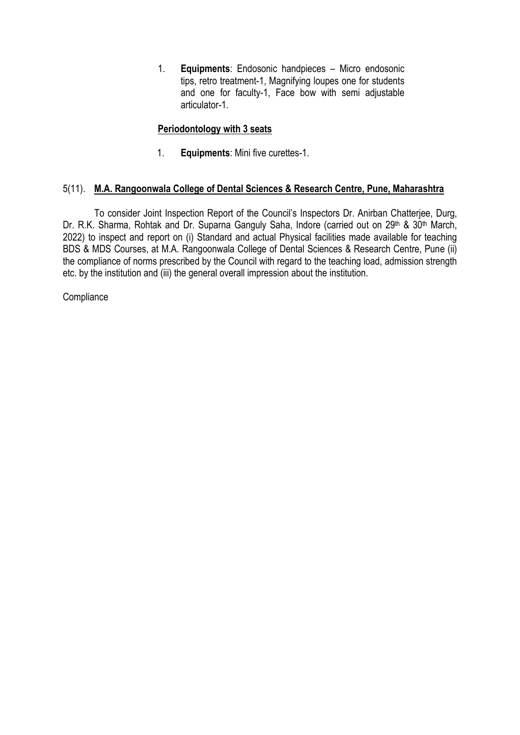1. Equipments: Endosonic handpieces – Micro endosonic tips, retro treatment-1, Magnifying loupes one for students and one for faculty-1, Face bow with semi adjustable articulator-1.

# Periodontology with 3 seats

1. **Equipments:** Mini five curettes-1.

## 5(11). M.A. Rangoonwala College of Dental Sciences & Research Centre, Pune, Maharashtra

To consider Joint Inspection Report of the Council's Inspectors Dr. Anirban Chatterjee, Durg, Dr. R.K. Sharma, Rohtak and Dr. Suparna Ganguly Saha, Indore (carried out on 29<sup>th</sup> & 30<sup>th</sup> March, 2022) to inspect and report on (i) Standard and actual Physical facilities made available for teaching BDS & MDS Courses, at M.A. Rangoonwala College of Dental Sciences & Research Centre, Pune (ii) the compliance of norms prescribed by the Council with regard to the teaching load, admission strength etc. by the institution and (iii) the general overall impression about the institution.

**Compliance**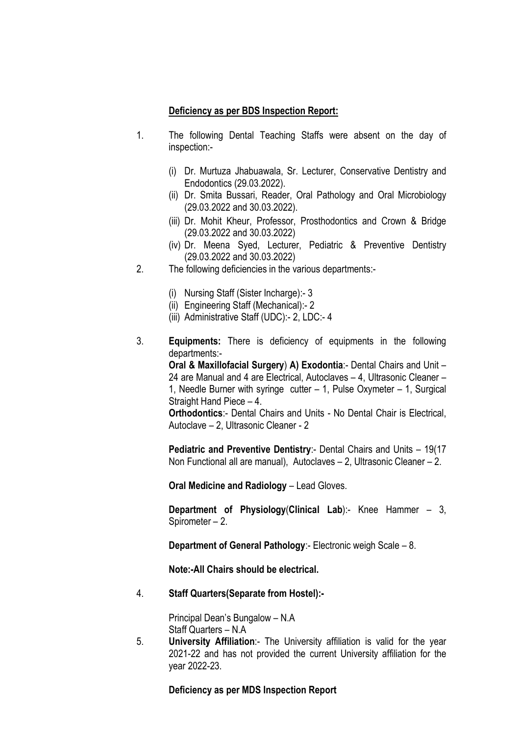### Deficiency as per BDS Inspection Report:

- 1. The following Dental Teaching Staffs were absent on the day of inspection:-
	- (i) Dr. Murtuza Jhabuawala, Sr. Lecturer, Conservative Dentistry and Endodontics (29.03.2022).
	- (ii) Dr. Smita Bussari, Reader, Oral Pathology and Oral Microbiology (29.03.2022 and 30.03.2022).
	- (iii) Dr. Mohit Kheur, Professor, Prosthodontics and Crown & Bridge (29.03.2022 and 30.03.2022)
	- (iv) Dr. Meena Syed, Lecturer, Pediatric & Preventive Dentistry (29.03.2022 and 30.03.2022)
- 2. The following deficiencies in the various departments:-
	- (i) Nursing Staff (Sister Incharge):- 3
	- (ii) Engineering Staff (Mechanical):- 2
	- (iii) Administrative Staff (UDC):- 2, LDC:- 4
- 3. Equipments: There is deficiency of equipments in the following departments:-

Oral & Maxillofacial Surgery) A) Exodontia:- Dental Chairs and Unit – 24 are Manual and 4 are Electrical, Autoclaves – 4, Ultrasonic Cleaner – 1, Needle Burner with syringe cutter – 1, Pulse Oxymeter – 1, Surgical Straight Hand Piece – 4.

Orthodontics:- Dental Chairs and Units - No Dental Chair is Electrical, Autoclave – 2, Ultrasonic Cleaner - 2

Pediatric and Preventive Dentistry: - Dental Chairs and Units - 19(17) Non Functional all are manual), Autoclaves – 2, Ultrasonic Cleaner – 2.

Oral Medicine and Radiology – Lead Gloves.

Department of Physiology(Clinical Lab):- Knee Hammer – 3, Spirometer – 2.

Department of General Pathology:- Electronic weigh Scale – 8.

Note:-All Chairs should be electrical.

4. Staff Quarters(Separate from Hostel):-

Principal Dean's Bungalow – N.A Staff Quarters – N.A

5. University Affiliation:- The University affiliation is valid for the year 2021-22 and has not provided the current University affiliation for the year 2022-23.

Deficiency as per MDS Inspection Report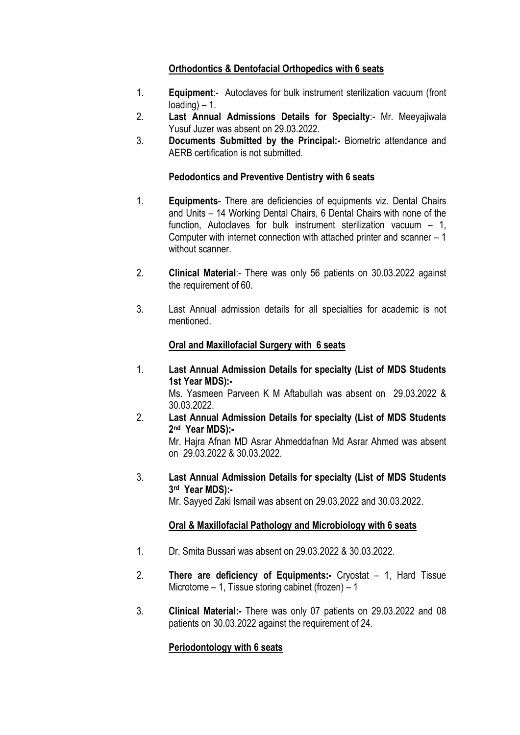# Orthodontics & Dentofacial Orthopedics with 6 seats

- 1. Equipment:- Autoclaves for bulk instrument sterilization vacuum (front loading) – 1.
- 2. Last Annual Admissions Details for Specialty:- Mr. Meeyajiwala Yusuf Juzer was absent on 29.03.2022.
- 3. Documents Submitted by the Principal:- Biometric attendance and AERB certification is not submitted.

## Pedodontics and Preventive Dentistry with 6 seats

- 1. Equipments- There are deficiencies of equipments viz. Dental Chairs and Units – 14 Working Dental Chairs, 6 Dental Chairs with none of the function, Autoclaves for bulk instrument sterilization vacuum – 1, Computer with internet connection with attached printer and scanner – 1 without scanner.
- 2. Clinical Material:- There was only 56 patients on 30.03.2022 against the requirement of 60.
- 3. Last Annual admission details for all specialties for academic is not mentioned.

## Oral and Maxillofacial Surgery with 6 seats

- 1. Last Annual Admission Details for specialty (List of MDS Students 1st Year MDS):- Ms. Yasmeen Parveen K M Aftabullah was absent on 29.03.2022 & 30.03.2022.
- 2. Last Annual Admission Details for specialty (List of MDS Students 2 nd Year MDS):- Mr. Hajra Afnan MD Asrar Ahmeddafnan Md Asrar Ahmed was absent on 29.03.2022 & 30.03.2022.
- 3. Last Annual Admission Details for specialty (List of MDS Students 3 rd Year MDS):-

Mr. Sayyed Zaki Ismail was absent on 29.03.2022 and 30.03.2022.

## Oral & Maxillofacial Pathology and Microbiology with 6 seats

- 1. Dr. Smita Bussari was absent on 29.03.2022 & 30.03.2022.
- 2. There are deficiency of Equipments:- Cryostat 1, Hard Tissue Microtome – 1, Tissue storing cabinet (frozen) – 1
- 3. Clinical Material:- There was only 07 patients on 29.03.2022 and 08 patients on 30.03.2022 against the requirement of 24.

## Periodontology with 6 seats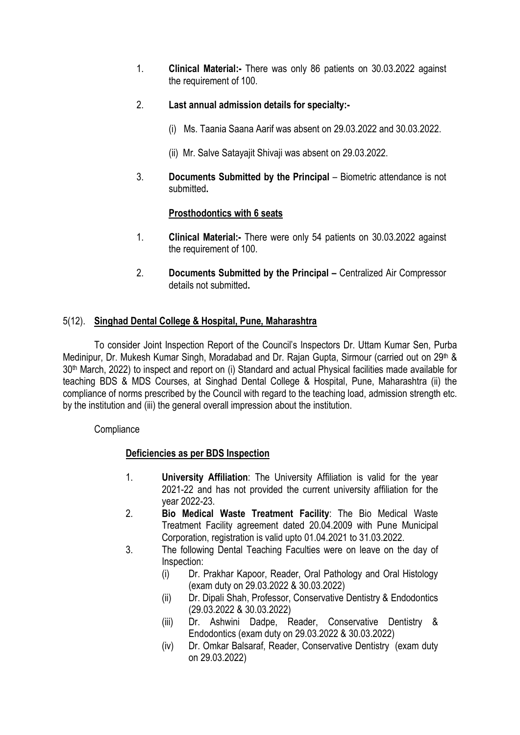- 1. Clinical Material:- There was only 86 patients on 30.03.2022 against the requirement of 100.
- 2. Last annual admission details for specialty:-
	- (i) Ms. Taania Saana Aarif was absent on 29.03.2022 and 30.03.2022.
	- (ii) Mr. Salve Satayajit Shivaji was absent on 29.03.2022.
- 3. Documents Submitted by the Principal Biometric attendance is not submitted.

## Prosthodontics with 6 seats

- 1. Clinical Material:- There were only 54 patients on 30.03.2022 against the requirement of 100.
- 2. Documents Submitted by the Principal Centralized Air Compressor details not submitted.

## 5(12). Singhad Dental College & Hospital, Pune, Maharashtra

To consider Joint Inspection Report of the Council's Inspectors Dr. Uttam Kumar Sen, Purba Medinipur, Dr. Mukesh Kumar Singh, Moradabad and Dr. Rajan Gupta, Sirmour (carried out on 29th & 30th March, 2022) to inspect and report on (i) Standard and actual Physical facilities made available for teaching BDS & MDS Courses, at Singhad Dental College & Hospital, Pune, Maharashtra (ii) the compliance of norms prescribed by the Council with regard to the teaching load, admission strength etc. by the institution and (iii) the general overall impression about the institution.

**Compliance** 

## Deficiencies as per BDS Inspection

- 1. University Affiliation: The University Affiliation is valid for the year 2021-22 and has not provided the current university affiliation for the year 2022-23.
- 2. Bio Medical Waste Treatment Facility: The Bio Medical Waste Treatment Facility agreement dated 20.04.2009 with Pune Municipal Corporation, registration is valid upto 01.04.2021 to 31.03.2022.
- 3. The following Dental Teaching Faculties were on leave on the day of Inspection:
	- (i) Dr. Prakhar Kapoor, Reader, Oral Pathology and Oral Histology (exam duty on 29.03.2022 & 30.03.2022)
	- (ii) Dr. Dipali Shah, Professor, Conservative Dentistry & Endodontics (29.03.2022 & 30.03.2022)
	- (iii) Dr. Ashwini Dadpe, Reader, Conservative Dentistry & Endodontics (exam duty on 29.03.2022 & 30.03.2022)
	- (iv) Dr. Omkar Balsaraf, Reader, Conservative Dentistry (exam duty on 29.03.2022)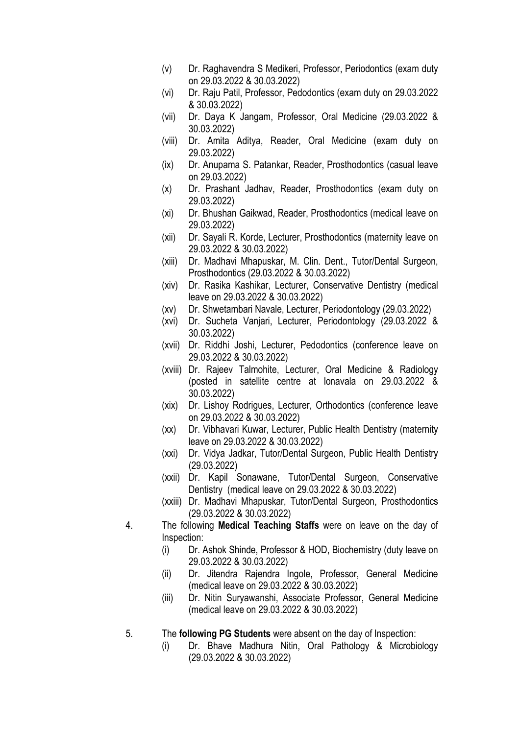- (v) Dr. Raghavendra S Medikeri, Professor, Periodontics (exam duty on 29.03.2022 & 30.03.2022)
- (vi) Dr. Raju Patil, Professor, Pedodontics (exam duty on 29.03.2022 & 30.03.2022)
- (vii) Dr. Daya K Jangam, Professor, Oral Medicine (29.03.2022 & 30.03.2022)
- (viii) Dr. Amita Aditya, Reader, Oral Medicine (exam duty on 29.03.2022)
- (ix) Dr. Anupama S. Patankar, Reader, Prosthodontics (casual leave on 29.03.2022)
- (x) Dr. Prashant Jadhav, Reader, Prosthodontics (exam duty on 29.03.2022)
- (xi) Dr. Bhushan Gaikwad, Reader, Prosthodontics (medical leave on 29.03.2022)
- (xii) Dr. Sayali R. Korde, Lecturer, Prosthodontics (maternity leave on 29.03.2022 & 30.03.2022)
- (xiii) Dr. Madhavi Mhapuskar, M. Clin. Dent., Tutor/Dental Surgeon, Prosthodontics (29.03.2022 & 30.03.2022)
- (xiv) Dr. Rasika Kashikar, Lecturer, Conservative Dentistry (medical leave on 29.03.2022 & 30.03.2022)
- (xv) Dr. Shwetambari Navale, Lecturer, Periodontology (29.03.2022)
- (xvi) Dr. Sucheta Vanjari, Lecturer, Periodontology (29.03.2022 & 30.03.2022)
- (xvii) Dr. Riddhi Joshi, Lecturer, Pedodontics (conference leave on 29.03.2022 & 30.03.2022)
- (xviii) Dr. Rajeev Talmohite, Lecturer, Oral Medicine & Radiology (posted in satellite centre at lonavala on 29.03.2022 & 30.03.2022)
- (xix) Dr. Lishoy Rodrigues, Lecturer, Orthodontics (conference leave on 29.03.2022 & 30.03.2022)
- (xx) Dr. Vibhavari Kuwar, Lecturer, Public Health Dentistry (maternity leave on 29.03.2022 & 30.03.2022)
- (xxi) Dr. Vidya Jadkar, Tutor/Dental Surgeon, Public Health Dentistry (29.03.2022)
- (xxii) Dr. Kapil Sonawane, Tutor/Dental Surgeon, Conservative Dentistry (medical leave on 29.03.2022 & 30.03.2022)
- (xxiii) Dr. Madhavi Mhapuskar, Tutor/Dental Surgeon, Prosthodontics (29.03.2022 & 30.03.2022)
- 4. The following Medical Teaching Staffs were on leave on the day of Inspection:
	- (i) Dr. Ashok Shinde, Professor & HOD, Biochemistry (duty leave on 29.03.2022 & 30.03.2022)
	- (ii) Dr. Jitendra Rajendra Ingole, Professor, General Medicine (medical leave on 29.03.2022 & 30.03.2022)
	- (iii) Dr. Nitin Suryawanshi, Associate Professor, General Medicine (medical leave on 29.03.2022 & 30.03.2022)
- 5. The following PG Students were absent on the day of Inspection:
	- (i) Dr. Bhave Madhura Nitin, Oral Pathology & Microbiology (29.03.2022 & 30.03.2022)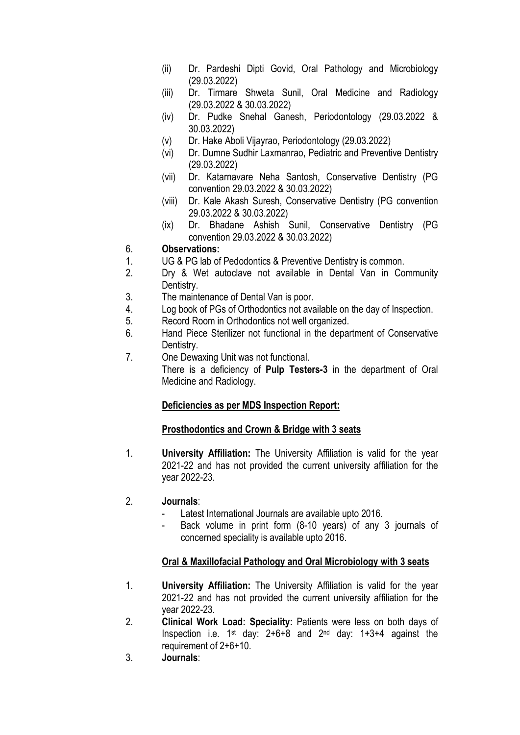- (ii) Dr. Pardeshi Dipti Govid, Oral Pathology and Microbiology (29.03.2022)
- (iii) Dr. Tirmare Shweta Sunil, Oral Medicine and Radiology (29.03.2022 & 30.03.2022)
- (iv) Dr. Pudke Snehal Ganesh, Periodontology (29.03.2022 & 30.03.2022)
- (v) Dr. Hake Aboli Vijayrao, Periodontology (29.03.2022)
- (vi) Dr. Dumne Sudhir Laxmanrao, Pediatric and Preventive Dentistry (29.03.2022)
- (vii) Dr. Katarnavare Neha Santosh, Conservative Dentistry (PG convention 29.03.2022 & 30.03.2022)
- (viii) Dr. Kale Akash Suresh, Conservative Dentistry (PG convention 29.03.2022 & 30.03.2022)
- (ix) Dr. Bhadane Ashish Sunil, Conservative Dentistry (PG convention 29.03.2022 & 30.03.2022)

## 6. Observations:

- 1. UG & PG lab of Pedodontics & Preventive Dentistry is common.
- 2. Dry & Wet autoclave not available in Dental Van in Community Dentistry.
- 3. The maintenance of Dental Van is poor.
- 4. Log book of PGs of Orthodontics not available on the day of Inspection.
- 5. Record Room in Orthodontics not well organized.
- 6. Hand Piece Sterilizer not functional in the department of Conservative Dentistry.
- 7. One Dewaxing Unit was not functional.

There is a deficiency of Pulp Testers-3 in the department of Oral Medicine and Radiology.

# Deficiencies as per MDS Inspection Report:

# Prosthodontics and Crown & Bridge with 3 seats

- 1. University Affiliation: The University Affiliation is valid for the year 2021-22 and has not provided the current university affiliation for the year 2022-23.
- 2. Journals:
	- Latest International Journals are available upto 2016.
	- Back volume in print form (8-10 years) of any 3 journals of concerned speciality is available upto 2016.

# Oral & Maxillofacial Pathology and Oral Microbiology with 3 seats

- 1. University Affiliation: The University Affiliation is valid for the year 2021-22 and has not provided the current university affiliation for the year 2022-23.
- 2. Clinical Work Load: Speciality: Patients were less on both days of Inspection i.e.  $1st$  day:  $2+6+8$  and  $2nd$  day:  $1+3+4$  against the requirement of 2+6+10.
- 3. Journals: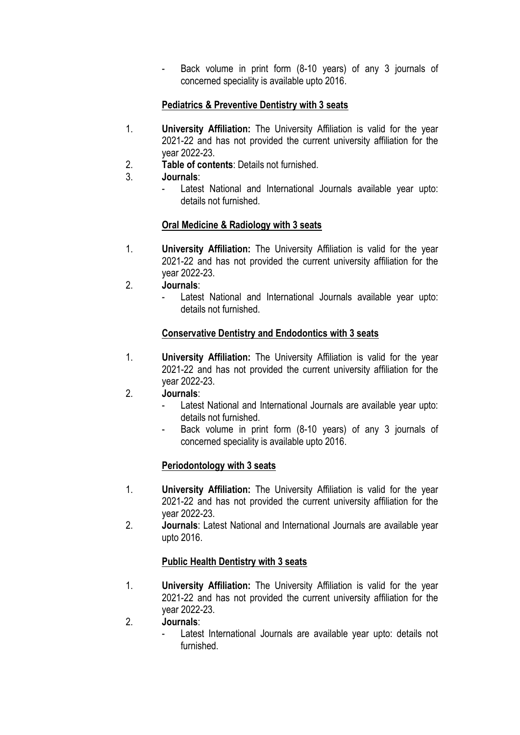Back volume in print form (8-10 years) of any 3 journals of concerned speciality is available upto 2016.

# Pediatrics & Preventive Dentistry with 3 seats

- 1. University Affiliation: The University Affiliation is valid for the year 2021-22 and has not provided the current university affiliation for the year 2022-23.
- 2. Table of contents: Details not furnished.
- 3. Journals:
	- Latest National and International Journals available year upto: details not furnished.

# Oral Medicine & Radiology with 3 seats

- 1. University Affiliation: The University Affiliation is valid for the year 2021-22 and has not provided the current university affiliation for the year 2022-23.
- 2. Journals:
	- Latest National and International Journals available year upto: details not furnished.

# Conservative Dentistry and Endodontics with 3 seats

- 1. University Affiliation: The University Affiliation is valid for the year 2021-22 and has not provided the current university affiliation for the year 2022-23.
- 2. Journals:
	- Latest National and International Journals are available year upto: details not furnished.
	- Back volume in print form (8-10 years) of any 3 journals of concerned speciality is available upto 2016.

# Periodontology with 3 seats

- 1. University Affiliation: The University Affiliation is valid for the year 2021-22 and has not provided the current university affiliation for the year 2022-23.
- 2. Journals: Latest National and International Journals are available year upto 2016.

# Public Health Dentistry with 3 seats

- 1. University Affiliation: The University Affiliation is valid for the year 2021-22 and has not provided the current university affiliation for the year 2022-23.
- 2. Journals:
	- Latest International Journals are available year upto: details not furnished.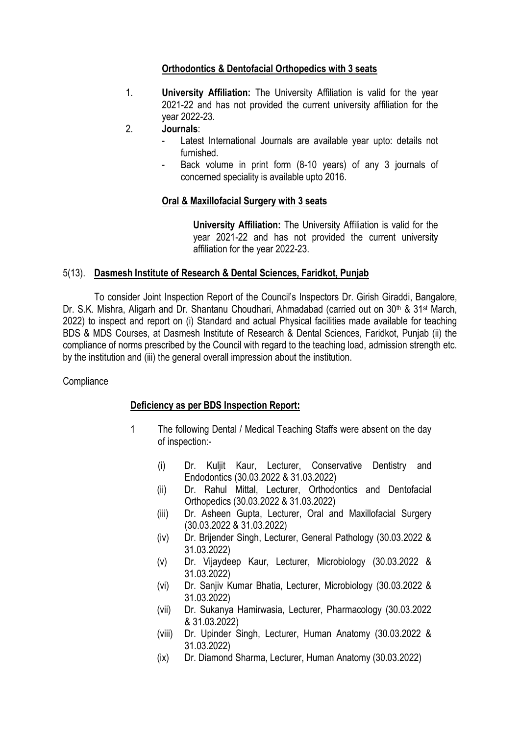## Orthodontics & Dentofacial Orthopedics with 3 seats

1. University Affiliation: The University Affiliation is valid for the year 2021-22 and has not provided the current university affiliation for the year 2022-23.

## 2. Journals:

- Latest International Journals are available year upto: details not furnished.
- Back volume in print form (8-10 years) of any 3 journals of concerned speciality is available upto 2016.

## Oral & Maxillofacial Surgery with 3 seats

University Affiliation: The University Affiliation is valid for the year 2021-22 and has not provided the current university affiliation for the year 2022-23.

## 5(13). Dasmesh Institute of Research & Dental Sciences, Faridkot, Punjab

To consider Joint Inspection Report of the Council's Inspectors Dr. Girish Giraddi, Bangalore, Dr. S.K. Mishra, Aligarh and Dr. Shantanu Choudhari, Ahmadabad (carried out on 30<sup>th</sup> & 31<sup>st</sup> March, 2022) to inspect and report on (i) Standard and actual Physical facilities made available for teaching BDS & MDS Courses, at Dasmesh Institute of Research & Dental Sciences, Faridkot, Punjab (ii) the compliance of norms prescribed by the Council with regard to the teaching load, admission strength etc. by the institution and (iii) the general overall impression about the institution.

## **Compliance**

## Deficiency as per BDS Inspection Report:

- 1 The following Dental / Medical Teaching Staffs were absent on the day of inspection:-
	- (i) Dr. Kuljit Kaur, Lecturer, Conservative Dentistry and Endodontics (30.03.2022 & 31.03.2022)
	- (ii) Dr. Rahul Mittal, Lecturer, Orthodontics and Dentofacial Orthopedics (30.03.2022 & 31.03.2022)
	- (iii) Dr. Asheen Gupta, Lecturer, Oral and Maxillofacial Surgery (30.03.2022 & 31.03.2022)
	- (iv) Dr. Brijender Singh, Lecturer, General Pathology (30.03.2022 & 31.03.2022)
	- (v) Dr. Vijaydeep Kaur, Lecturer, Microbiology (30.03.2022 & 31.03.2022)
	- (vi) Dr. Sanjiv Kumar Bhatia, Lecturer, Microbiology (30.03.2022 & 31.03.2022)
	- (vii) Dr. Sukanya Hamirwasia, Lecturer, Pharmacology (30.03.2022 & 31.03.2022)
	- (viii) Dr. Upinder Singh, Lecturer, Human Anatomy (30.03.2022 & 31.03.2022)
	- (ix) Dr. Diamond Sharma, Lecturer, Human Anatomy (30.03.2022)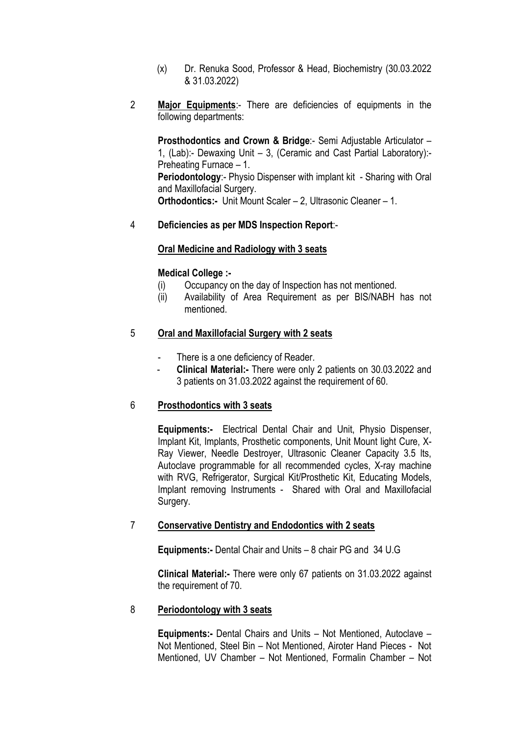- (x) Dr. Renuka Sood, Professor & Head, Biochemistry (30.03.2022 & 31.03.2022)
- 2 Major Equipments:- There are deficiencies of equipments in the following departments:

Prosthodontics and Crown & Bridge:- Semi Adjustable Articulator – 1, (Lab):- Dewaxing Unit – 3, (Ceramic and Cast Partial Laboratory):- Preheating Furnace – 1. Periodontology:- Physio Dispenser with implant kit - Sharing with Oral and Maxillofacial Surgery. Orthodontics:- Unit Mount Scaler – 2, Ultrasonic Cleaner – 1.

### 4 Deficiencies as per MDS Inspection Report:-

### Oral Medicine and Radiology with 3 seats

### Medical College :-

- (i) Occupancy on the day of Inspection has not mentioned.
- (ii) Availability of Area Requirement as per BIS/NABH has not mentioned.

### 5 Oral and Maxillofacial Surgery with 2 seats

- There is a one deficiency of Reader.
- Clinical Material:- There were only 2 patients on 30.03.2022 and 3 patients on 31.03.2022 against the requirement of 60.

### 6 Prosthodontics with 3 seats

Equipments:- Electrical Dental Chair and Unit, Physio Dispenser, Implant Kit, Implants, Prosthetic components, Unit Mount light Cure, X-Ray Viewer, Needle Destroyer, Ultrasonic Cleaner Capacity 3.5 lts, Autoclave programmable for all recommended cycles, X-ray machine with RVG, Refrigerator, Surgical Kit/Prosthetic Kit, Educating Models, Implant removing Instruments - Shared with Oral and Maxillofacial Surgery.

### 7 Conservative Dentistry and Endodontics with 2 seats

Equipments:- Dental Chair and Units – 8 chair PG and 34 U.G

Clinical Material:- There were only 67 patients on 31.03.2022 against the requirement of 70.

### 8 Periodontology with 3 seats

Equipments:- Dental Chairs and Units – Not Mentioned, Autoclave – Not Mentioned, Steel Bin – Not Mentioned, Airoter Hand Pieces - Not Mentioned, UV Chamber – Not Mentioned, Formalin Chamber – Not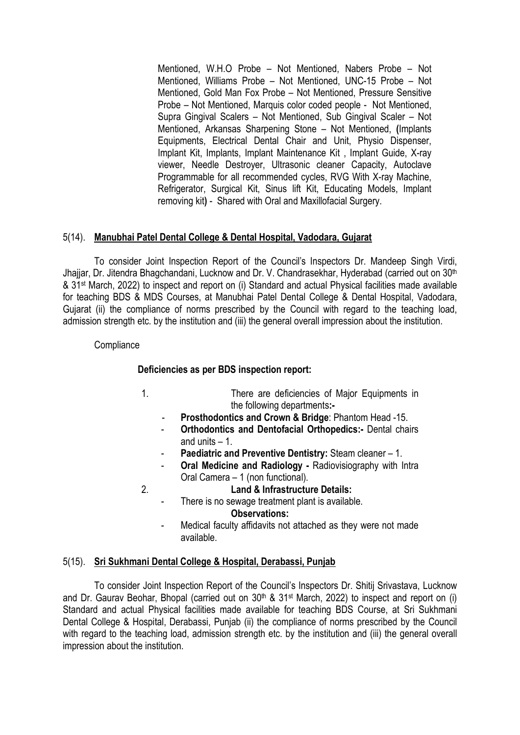Mentioned, W.H.O Probe – Not Mentioned, Nabers Probe – Not Mentioned, Williams Probe – Not Mentioned, UNC-15 Probe – Not Mentioned, Gold Man Fox Probe – Not Mentioned, Pressure Sensitive Probe – Not Mentioned, Marquis color coded people - Not Mentioned, Supra Gingival Scalers – Not Mentioned, Sub Gingival Scaler – Not Mentioned, Arkansas Sharpening Stone – Not Mentioned, (Implants Equipments, Electrical Dental Chair and Unit, Physio Dispenser, Implant Kit, Implants, Implant Maintenance Kit , Implant Guide, X-ray viewer, Needle Destroyer, Ultrasonic cleaner Capacity, Autoclave Programmable for all recommended cycles, RVG With X-ray Machine, Refrigerator, Surgical Kit, Sinus lift Kit, Educating Models, Implant removing kit) - Shared with Oral and Maxillofacial Surgery.

## 5(14). Manubhai Patel Dental College & Dental Hospital, Vadodara, Gujarat

To consider Joint Inspection Report of the Council's Inspectors Dr. Mandeep Singh Virdi, Jhajjar, Dr. Jitendra Bhagchandani, Lucknow and Dr. V. Chandrasekhar, Hyderabad (carried out on 30<sup>th</sup>) & 31st March, 2022) to inspect and report on (i) Standard and actual Physical facilities made available for teaching BDS & MDS Courses, at Manubhai Patel Dental College & Dental Hospital, Vadodara, Gujarat (ii) the compliance of norms prescribed by the Council with regard to the teaching load, admission strength etc. by the institution and (iii) the general overall impression about the institution.

### **Compliance**

### Deficiencies as per BDS inspection report:

- 1. There are deficiencies of Major Equipments in the following departments:-
	- Prosthodontics and Crown & Bridge: Phantom Head -15.
	- Orthodontics and Dentofacial Orthopedics:- Dental chairs and units – 1.
	- Paediatric and Preventive Dentistry: Steam cleaner 1.
	- Oral Medicine and Radiology Radiovisiography with Intra Oral Camera – 1 (non functional).

2. Land & Infrastructure Details:

- There is no sewage treatment plant is available. Observations:
	- Medical faculty affidavits not attached as they were not made available.

### 5(15). Sri Sukhmani Dental College & Hospital, Derabassi, Punjab

To consider Joint Inspection Report of the Council's Inspectors Dr. Shitij Srivastava, Lucknow and Dr. Gaurav Beohar, Bhopal (carried out on 30<sup>th</sup> & 31<sup>st</sup> March, 2022) to inspect and report on (i) Standard and actual Physical facilities made available for teaching BDS Course, at Sri Sukhmani Dental College & Hospital, Derabassi, Punjab (ii) the compliance of norms prescribed by the Council with regard to the teaching load, admission strength etc. by the institution and (iii) the general overall impression about the institution.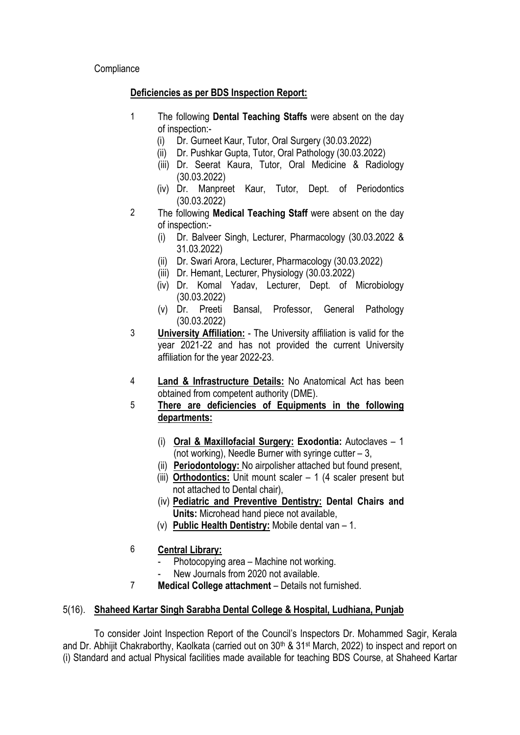**Compliance** 

## Deficiencies as per BDS Inspection Report:

- 1 The following Dental Teaching Staffs were absent on the day of inspection:-
	- (i) Dr. Gurneet Kaur, Tutor, Oral Surgery (30.03.2022)
	- (ii) Dr. Pushkar Gupta, Tutor, Oral Pathology (30.03.2022)
	- (iii) Dr. Seerat Kaura, Tutor, Oral Medicine & Radiology (30.03.2022)
	- (iv) Dr. Manpreet Kaur, Tutor, Dept. of Periodontics (30.03.2022)
- 2 The following **Medical Teaching Staff** were absent on the day of inspection:-
	- (i) Dr. Balveer Singh, Lecturer, Pharmacology (30.03.2022 & 31.03.2022)
	- (ii) Dr. Swari Arora, Lecturer, Pharmacology (30.03.2022)
	- (iii) Dr. Hemant, Lecturer, Physiology (30.03.2022)
	- (iv) Dr. Komal Yadav, Lecturer, Dept. of Microbiology (30.03.2022)
	- (v) Dr. Preeti Bansal, Professor, General Pathology (30.03.2022)
- 3 University Affiliation: The University affiliation is valid for the year 2021-22 and has not provided the current University affiliation for the year 2022-23.
- 4 Land & Infrastructure Details: No Anatomical Act has been obtained from competent authority (DME).
- 5 There are deficiencies of Equipments in the following departments:
	- (i) Oral & Maxillofacial Surgery: Exodontia: Autoclaves 1 (not working), Needle Burner with syringe cutter – 3,
	- (ii) Periodontology: No airpolisher attached but found present,
	- (iii) Orthodontics: Unit mount scaler  $-1$  (4 scaler present but not attached to Dental chair),
	- (iv) Pediatric and Preventive Dentistry: Dental Chairs and Units: Microhead hand piece not available,
	- (v) Public Health Dentistry: Mobile dental van 1.
- 6 Central Library:
	- Photocopying area Machine not working.
	- New Journals from 2020 not available.
- 7 Medical College attachment Details not furnished.

# 5(16). Shaheed Kartar Singh Sarabha Dental College & Hospital, Ludhiana, Punjab

To consider Joint Inspection Report of the Council's Inspectors Dr. Mohammed Sagir, Kerala and Dr. Abhijit Chakraborthy, Kaolkata (carried out on 30<sup>th</sup> & 31<sup>st</sup> March, 2022) to inspect and report on (i) Standard and actual Physical facilities made available for teaching BDS Course, at Shaheed Kartar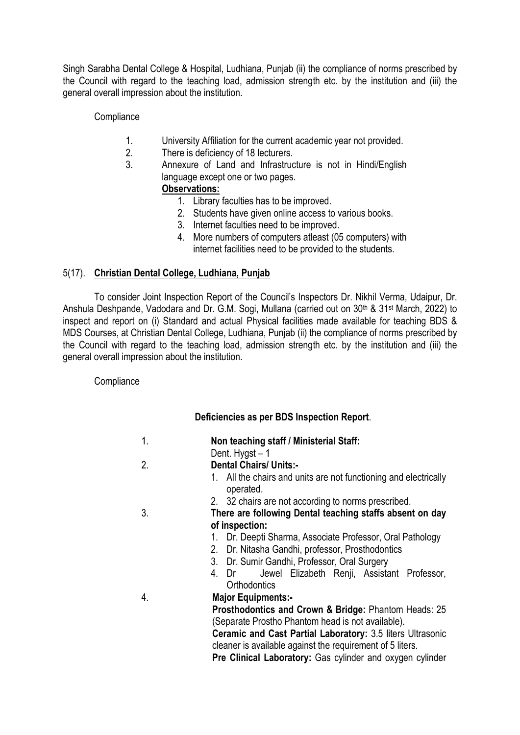Singh Sarabha Dental College & Hospital, Ludhiana, Punjab (ii) the compliance of norms prescribed by the Council with regard to the teaching load, admission strength etc. by the institution and (iii) the general overall impression about the institution.

## **Compliance**

- 1. University Affiliation for the current academic year not provided.
- 2. There is deficiency of 18 lecturers.
- 3. Annexure of Land and Infrastructure is not in Hindi/English language except one or two pages.

## Observations:

- 1. Library faculties has to be improved.
- 2. Students have given online access to various books.
- 3. Internet faculties need to be improved.
- 4. More numbers of computers atleast (05 computers) with internet facilities need to be provided to the students.

## 5(17). Christian Dental College, Ludhiana, Punjab

To consider Joint Inspection Report of the Council's Inspectors Dr. Nikhil Verma, Udaipur, Dr. Anshula Deshpande, Vadodara and Dr. G.M. Sogi, Mullana (carried out on 30<sup>th</sup> & 31<sup>st</sup> March, 2022) to inspect and report on (i) Standard and actual Physical facilities made available for teaching BDS & MDS Courses, at Christian Dental College, Ludhiana, Punjab (ii) the compliance of norms prescribed by the Council with regard to the teaching load, admission strength etc. by the institution and (iii) the general overall impression about the institution.

## **Compliance**

# Deficiencies as per BDS Inspection Report.

- 1. Non teaching staff / Ministerial Staff:
	- Dent. Hygst 1
- 2. Dental Chairs/ Units:-
	- 1. All the chairs and units are not functioning and electrically operated.
	- 2. 32 chairs are not according to norms prescribed.
- 3. There are following Dental teaching staffs absent on day of inspection:
	- 1. Dr. Deepti Sharma, Associate Professor, Oral Pathology
	- 2. Dr. Nitasha Gandhi, professor, Prosthodontics
	- 3. Dr. Sumir Gandhi, Professor, Oral Surgery
	- 4. Dr Jewel Elizabeth Renji, Assistant Professor, **Orthodontics**
- 4. Major Equipments:-

Prosthodontics and Crown & Bridge: Phantom Heads: 25 (Separate Prostho Phantom head is not available).

Ceramic and Cast Partial Laboratory: 3.5 liters Ultrasonic cleaner is available against the requirement of 5 liters.

Pre Clinical Laboratory: Gas cylinder and oxygen cylinder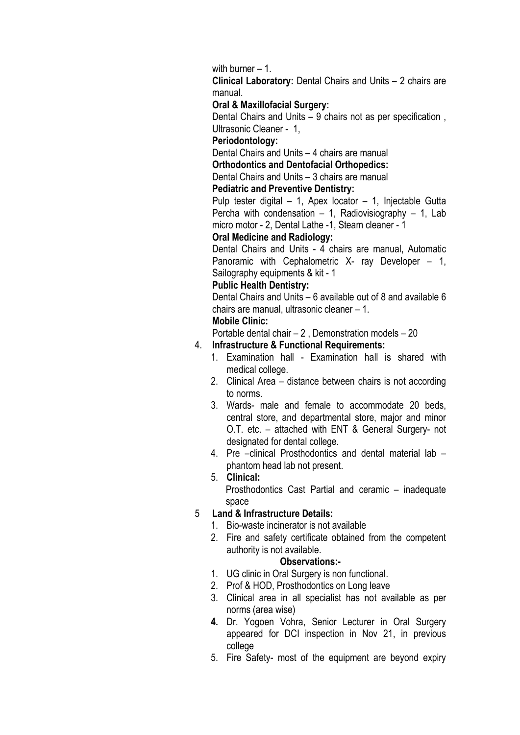with burner – 1.

Clinical Laboratory: Dental Chairs and Units – 2 chairs are manual.

### Oral & Maxillofacial Surgery:

Dental Chairs and Units – 9 chairs not as per specification , Ultrasonic Cleaner - 1,

### Periodontology:

Dental Chairs and Units – 4 chairs are manual

Orthodontics and Dentofacial Orthopedics:

Dental Chairs and Units – 3 chairs are manual

#### Pediatric and Preventive Dentistry:

Pulp tester digital – 1, Apex locator – 1, Injectable Gutta Percha with condensation  $-1$ , Radiovisiography  $-1$ , Lab micro motor - 2, Dental Lathe -1, Steam cleaner - 1

### Oral Medicine and Radiology:

Dental Chairs and Units - 4 chairs are manual, Automatic Panoramic with Cephalometric X- ray Developer – 1, Sailography equipments & kit - 1

#### Public Health Dentistry:

Dental Chairs and Units – 6 available out of 8 and available 6 chairs are manual, ultrasonic cleaner – 1.

## Mobile Clinic:

Portable dental chair – 2 , Demonstration models – 20

## 4. Infrastructure & Functional Requirements:

- 1. Examination hall Examination hall is shared with medical college.
- 2. Clinical Area distance between chairs is not according to norms.
- 3. Wards- male and female to accommodate 20 beds, central store, and departmental store, major and minor O.T. etc. – attached with ENT & General Surgery- not designated for dental college.
- 4. Pre –clinical Prosthodontics and dental material lab phantom head lab not present.

### 5. Clinical:

Prosthodontics Cast Partial and ceramic – inadequate space

### 5 Land & Infrastructure Details:

- 1. Bio-waste incinerator is not available
- 2. Fire and safety certificate obtained from the competent authority is not available.

### Observations:-

- 1. UG clinic in Oral Surgery is non functional.
- 2. Prof & HOD, Prosthodontics on Long leave
- 3. Clinical area in all specialist has not available as per norms (area wise)
- 4. Dr. Yogoen Vohra, Senior Lecturer in Oral Surgery appeared for DCI inspection in Nov 21, in previous college
- 5. Fire Safety- most of the equipment are beyond expiry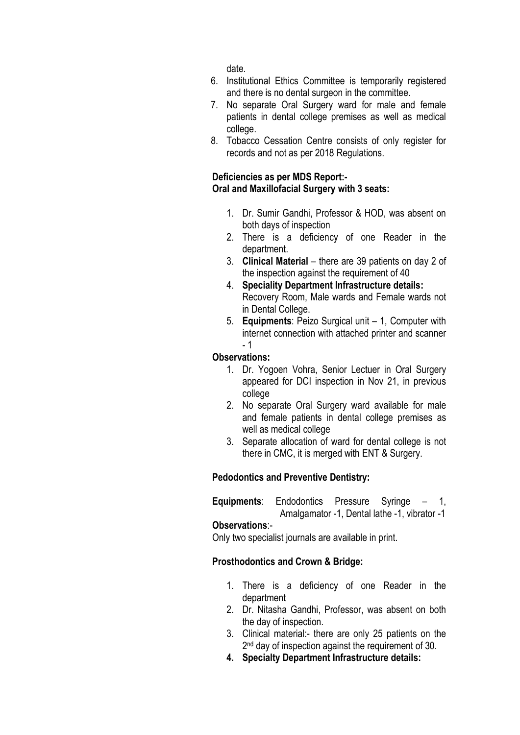date.

- 6. Institutional Ethics Committee is temporarily registered and there is no dental surgeon in the committee.
- 7. No separate Oral Surgery ward for male and female patients in dental college premises as well as medical college.
- 8. Tobacco Cessation Centre consists of only register for records and not as per 2018 Regulations.

## Deficiencies as per MDS Report:- Oral and Maxillofacial Surgery with 3 seats:

- 1. Dr. Sumir Gandhi, Professor & HOD, was absent on both days of inspection
- 2. There is a deficiency of one Reader in the department.
- 3. Clinical Material there are 39 patients on day 2 of the inspection against the requirement of 40
- 4. Speciality Department Infrastructure details: Recovery Room, Male wards and Female wards not in Dental College.
- 5. Equipments: Peizo Surgical unit 1, Computer with internet connection with attached printer and scanner - 1

## Observations:

- 1. Dr. Yogoen Vohra, Senior Lectuer in Oral Surgery appeared for DCI inspection in Nov 21, in previous college
- 2. No separate Oral Surgery ward available for male and female patients in dental college premises as well as medical college
- 3. Separate allocation of ward for dental college is not there in CMC, it is merged with ENT & Surgery.

# Pedodontics and Preventive Dentistry:

Equipments: Endodontics Pressure Syringe – 1,

# Amalgamator -1, Dental lathe -1, vibrator -1

## Observations:-

Only two specialist journals are available in print.

## Prosthodontics and Crown & Bridge:

- 1. There is a deficiency of one Reader in the department
- 2. Dr. Nitasha Gandhi, Professor, was absent on both the day of inspection.
- 3. Clinical material:- there are only 25 patients on the 2<sup>nd</sup> day of inspection against the requirement of 30.
- 4. Specialty Department Infrastructure details: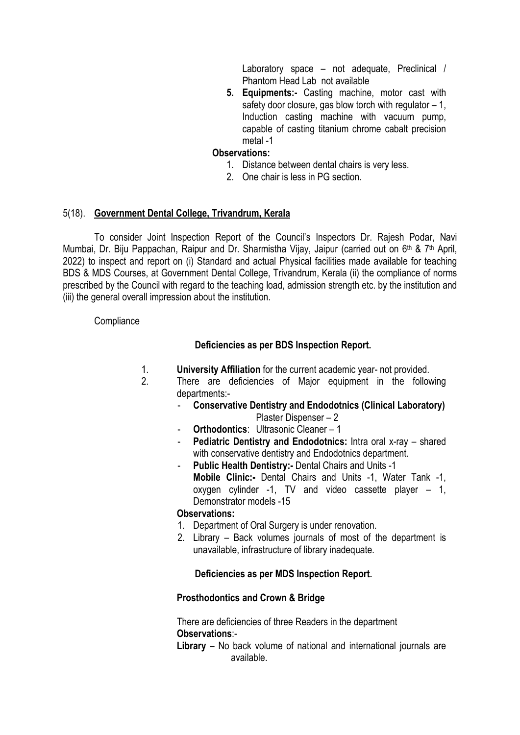Laboratory space – not adequate, Preclinical / Phantom Head Lab not available

5. Equipments:- Casting machine, motor cast with safety door closure, gas blow torch with regulator  $-1$ , Induction casting machine with vacuum pump, capable of casting titanium chrome cabalt precision metal -1

### Observations:

- 1. Distance between dental chairs is very less.
- 2. One chair is less in PG section.

### 5(18). Government Dental College, Trivandrum, Kerala

To consider Joint Inspection Report of the Council's Inspectors Dr. Rajesh Podar, Navi Mumbai, Dr. Biju Pappachan, Raipur and Dr. Sharmistha Vijay, Jaipur (carried out on 6<sup>th</sup> & 7<sup>th</sup> April, 2022) to inspect and report on (i) Standard and actual Physical facilities made available for teaching BDS & MDS Courses, at Government Dental College, Trivandrum, Kerala (ii) the compliance of norms prescribed by the Council with regard to the teaching load, admission strength etc. by the institution and (iii) the general overall impression about the institution.

### **Compliance**

### Deficiencies as per BDS Inspection Report.

- 1. University Affiliation for the current academic year- not provided.
- 2. There are deficiencies of Major equipment in the following departments:-
	- Conservative Dentistry and Endodotnics (Clinical Laboratory) Plaster Dispenser – 2
	- **Orthodontics:** Ultrasonic Cleaner 1
	- Pediatric Dentistry and Endodotnics: Intra oral x-ray shared with conservative dentistry and Endodotnics department.
	- Public Health Dentistry:- Dental Chairs and Units -1 Mobile Clinic:- Dental Chairs and Units -1, Water Tank -1, oxygen cylinder -1, TV and video cassette player – 1, Demonstrator models -15

### Observations:

- 1. Department of Oral Surgery is under renovation.
- 2. Library Back volumes journals of most of the department is unavailable, infrastructure of library inadequate.

## Deficiencies as per MDS Inspection Report.

## Prosthodontics and Crown & Bridge

There are deficiencies of three Readers in the department Observations:-

Library – No back volume of national and international journals are available.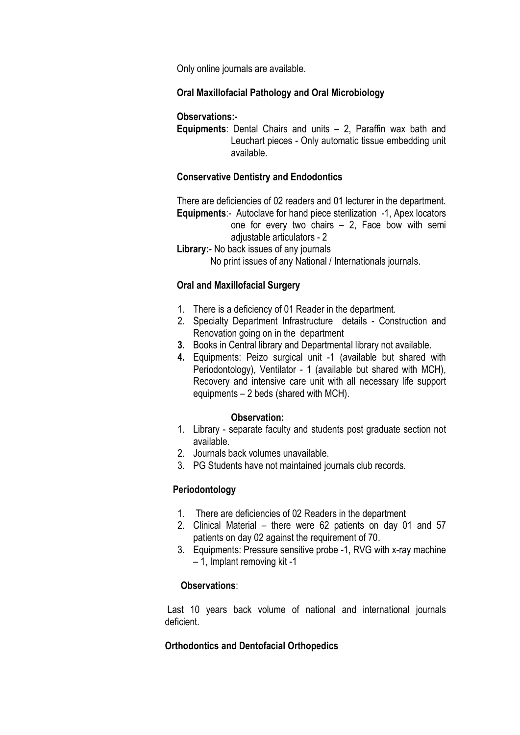Only online journals are available.

### Oral Maxillofacial Pathology and Oral Microbiology

### Observations:-

**Equipments:** Dental Chairs and units  $-2$ , Paraffin wax bath and Leuchart pieces - Only automatic tissue embedding unit available.

### Conservative Dentistry and Endodontics

There are deficiencies of 02 readers and 01 lecturer in the department. Equipments:- Autoclave for hand piece sterilization -1, Apex locators one for every two chairs – 2, Face bow with semi adjustable articulators - 2

Library:- No back issues of any journals

No print issues of any National / Internationals journals.

### Oral and Maxillofacial Surgery

- 1. There is a deficiency of 01 Reader in the department.
- 2. Specialty Department Infrastructure details Construction and Renovation going on in the department
- 3. Books in Central library and Departmental library not available.
- 4. Equipments: Peizo surgical unit -1 (available but shared with Periodontology), Ventilator - 1 (available but shared with MCH), Recovery and intensive care unit with all necessary life support equipments – 2 beds (shared with MCH).

### Observation:

- 1. Library separate faculty and students post graduate section not available.
- 2. Journals back volumes unavailable.
- 3. PG Students have not maintained journals club records.

## Periodontology

- 1. There are deficiencies of 02 Readers in the department
- 2. Clinical Material there were 62 patients on day 01 and 57 patients on day 02 against the requirement of 70.
- 3. Equipments: Pressure sensitive probe -1, RVG with x-ray machine – 1, Implant removing kit -1

### Observations:

Last 10 years back volume of national and international journals deficient.

## Orthodontics and Dentofacial Orthopedics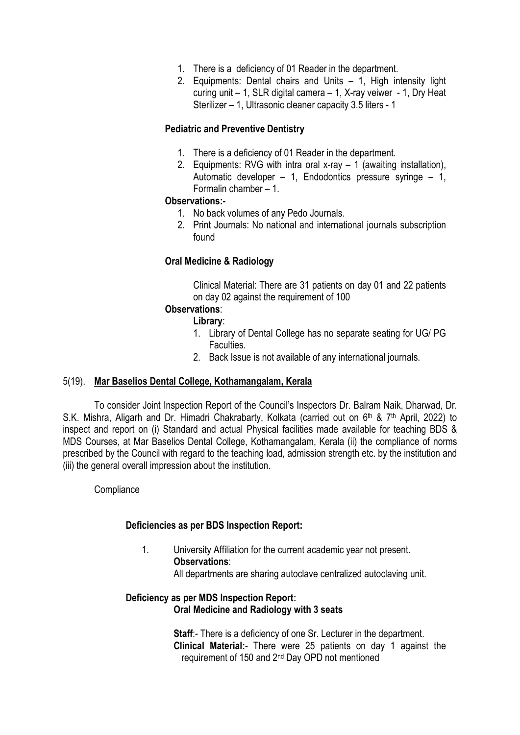- 1. There is a deficiency of 01 Reader in the department.
- 2. Equipments: Dental chairs and Units 1, High intensity light curing unit – 1, SLR digital camera – 1, X-ray veiwer - 1, Dry Heat Sterilizer – 1, Ultrasonic cleaner capacity 3.5 liters - 1

### Pediatric and Preventive Dentistry

- 1. There is a deficiency of 01 Reader in the department.
- 2. Equipments: RVG with intra oral x-ray 1 (awaiting installation), Automatic developer – 1, Endodontics pressure syringe – 1, Formalin chamber – 1.

### Observations:-

- 1. No back volumes of any Pedo Journals.
- 2. Print Journals: No national and international journals subscription found

### Oral Medicine & Radiology

Clinical Material: There are 31 patients on day 01 and 22 patients on day 02 against the requirement of 100

### Observations:

### Library:

- 1. Library of Dental College has no separate seating for UG/ PG Faculties.
- 2. Back Issue is not available of any international journals.

### 5(19). Mar Baselios Dental College, Kothamangalam, Kerala

To consider Joint Inspection Report of the Council's Inspectors Dr. Balram Naik, Dharwad, Dr. S.K. Mishra, Aligarh and Dr. Himadri Chakrabarty, Kolkata (carried out on 6<sup>th</sup> & 7<sup>th</sup> April, 2022) to inspect and report on (i) Standard and actual Physical facilities made available for teaching BDS & MDS Courses, at Mar Baselios Dental College, Kothamangalam, Kerala (ii) the compliance of norms prescribed by the Council with regard to the teaching load, admission strength etc. by the institution and (iii) the general overall impression about the institution.

## **Compliance**

## Deficiencies as per BDS Inspection Report:

1. University Affiliation for the current academic year not present. Observations: All departments are sharing autoclave centralized autoclaving unit.

### Deficiency as per MDS Inspection Report: Oral Medicine and Radiology with 3 seats

Staff:- There is a deficiency of one Sr. Lecturer in the department. Clinical Material:- There were 25 patients on day 1 against the requirement of 150 and 2nd Day OPD not mentioned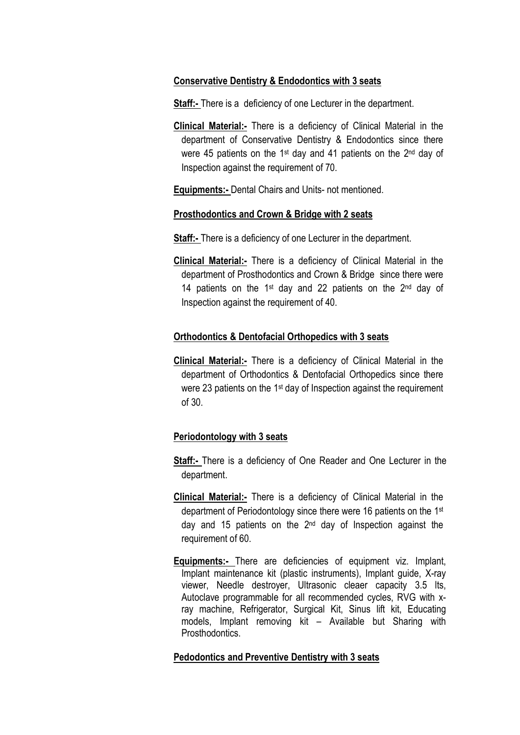### Conservative Dentistry & Endodontics with 3 seats

Staff:- There is a deficiency of one Lecturer in the department.

Clinical Material:- There is a deficiency of Clinical Material in the department of Conservative Dentistry & Endodontics since there were 45 patients on the 1<sup>st</sup> day and 41 patients on the 2<sup>nd</sup> day of Inspection against the requirement of 70.

Equipments:- Dental Chairs and Units- not mentioned.

#### Prosthodontics and Crown & Bridge with 2 seats

Staff:- There is a deficiency of one Lecturer in the department.

**Clinical Material:** There is a deficiency of Clinical Material in the department of Prosthodontics and Crown & Bridge since there were 14 patients on the  $1st$  day and 22 patients on the  $2nd$  day of Inspection against the requirement of 40.

### Orthodontics & Dentofacial Orthopedics with 3 seats

Clinical Material:- There is a deficiency of Clinical Material in the department of Orthodontics & Dentofacial Orthopedics since there were 23 patients on the 1<sup>st</sup> day of Inspection against the requirement of 30.

### Periodontology with 3 seats

- **Staff:** There is a deficiency of One Reader and One Lecturer in the department.
- Clinical Material:- There is a deficiency of Clinical Material in the department of Periodontology since there were 16 patients on the 1st day and 15 patients on the 2<sup>nd</sup> day of Inspection against the requirement of 60.
- Equipments:- There are deficiencies of equipment viz. Implant, Implant maintenance kit (plastic instruments), Implant guide, X-ray viewer, Needle destroyer, Ultrasonic cleaer capacity 3.5 lts, Autoclave programmable for all recommended cycles, RVG with xray machine, Refrigerator, Surgical Kit, Sinus lift kit, Educating models, Implant removing kit – Available but Sharing with Prosthodontics.

### Pedodontics and Preventive Dentistry with 3 seats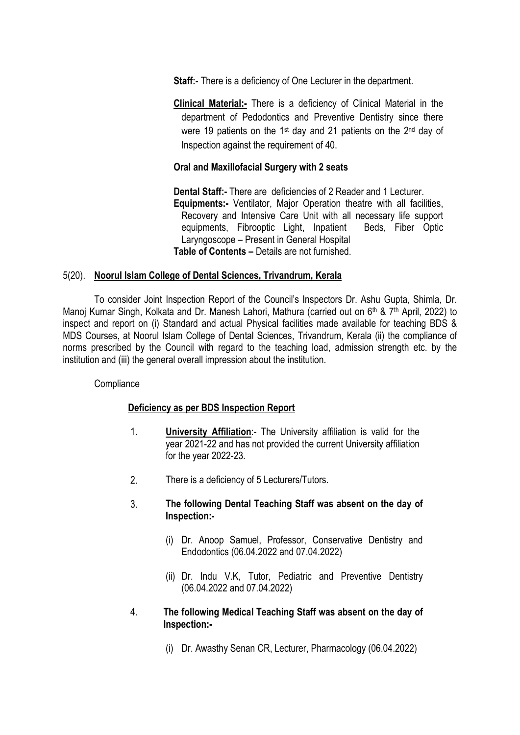**Staff:-** There is a deficiency of One Lecturer in the department.

Clinical Material:- There is a deficiency of Clinical Material in the department of Pedodontics and Preventive Dentistry since there were 19 patients on the 1<sup>st</sup> day and 21 patients on the 2<sup>nd</sup> day of Inspection against the requirement of 40.

## Oral and Maxillofacial Surgery with 2 seats

Dental Staff:- There are deficiencies of 2 Reader and 1 Lecturer. Equipments:- Ventilator, Major Operation theatre with all facilities, Recovery and Intensive Care Unit with all necessary life support equipments, Fibrooptic Light, Inpatient Beds, Fiber Optic Laryngoscope – Present in General Hospital Table of Contents – Details are not furnished.

### 5(20). Noorul Islam College of Dental Sciences, Trivandrum, Kerala

To consider Joint Inspection Report of the Council's Inspectors Dr. Ashu Gupta, Shimla, Dr. Manoj Kumar Singh, Kolkata and Dr. Manesh Lahori, Mathura (carried out on 6<sup>th</sup> & 7<sup>th</sup> April, 2022) to inspect and report on (i) Standard and actual Physical facilities made available for teaching BDS & MDS Courses, at Noorul Islam College of Dental Sciences, Trivandrum, Kerala (ii) the compliance of norms prescribed by the Council with regard to the teaching load, admission strength etc. by the institution and (iii) the general overall impression about the institution.

## **Compliance**

## Deficiency as per BDS Inspection Report

- 1. University Affiliation:- The University affiliation is valid for the year 2021-22 and has not provided the current University affiliation for the year 2022-23.
- 2. There is a deficiency of 5 Lecturers/Tutors.
- 3. The following Dental Teaching Staff was absent on the day of Inspection:-
	- (i) Dr. Anoop Samuel, Professor, Conservative Dentistry and Endodontics (06.04.2022 and 07.04.2022)
	- (ii) Dr. Indu V.K, Tutor, Pediatric and Preventive Dentistry (06.04.2022 and 07.04.2022)
- 4. The following Medical Teaching Staff was absent on the day of Inspection:-
	- (i) Dr. Awasthy Senan CR, Lecturer, Pharmacology (06.04.2022)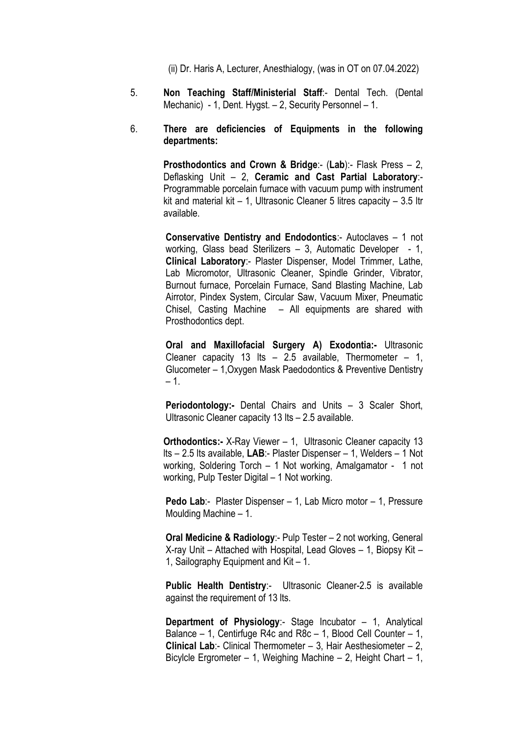(ii) Dr. Haris A, Lecturer, Anesthialogy, (was in OT on 07.04.2022)

5. Non Teaching Staff/Ministerial Staff:- Dental Tech. (Dental Mechanic) - 1, Dent. Hygst. – 2, Security Personnel – 1.

### 6. There are deficiencies of Equipments in the following departments:

Prosthodontics and Crown & Bridge:- (Lab):- Flask Press - 2, Deflasking Unit – 2, Ceramic and Cast Partial Laboratory:- Programmable porcelain furnace with vacuum pump with instrument kit and material kit – 1, Ultrasonic Cleaner 5 litres capacity – 3.5 ltr available.

Conservative Dentistry and Endodontics:- Autoclaves – 1 not working, Glass bead Sterilizers – 3, Automatic Developer - 1, Clinical Laboratory:- Plaster Dispenser, Model Trimmer, Lathe, Lab Micromotor, Ultrasonic Cleaner, Spindle Grinder, Vibrator, Burnout furnace, Porcelain Furnace, Sand Blasting Machine, Lab Airrotor, Pindex System, Circular Saw, Vacuum Mixer, Pneumatic Chisel, Casting Machine – All equipments are shared with Prosthodontics dept.

Oral and Maxillofacial Surgery A) Exodontia:- Ultrasonic Cleaner capacity 13 lts  $-$  2.5 available, Thermometer  $-$  1, Glucometer – 1,Oxygen Mask Paedodontics & Preventive Dentistry – 1.

Periodontology:- Dental Chairs and Units - 3 Scaler Short, Ultrasonic Cleaner capacity 13 lts – 2.5 available.

**Orthodontics:-** X-Ray Viewer – 1, Ultrasonic Cleaner capacity 13 lts – 2.5 lts available, LAB:- Plaster Dispenser – 1, Welders – 1 Not working, Soldering Torch – 1 Not working, Amalgamator - 1 not working, Pulp Tester Digital – 1 Not working.

Pedo Lab:- Plaster Dispenser – 1, Lab Micro motor – 1, Pressure Moulding Machine – 1.

Oral Medicine & Radiology:- Pulp Tester – 2 not working, General X-ray Unit – Attached with Hospital, Lead Gloves – 1, Biopsy Kit – 1, Sailography Equipment and Kit – 1.

Public Health Dentistry:- Ultrasonic Cleaner-2.5 is available against the requirement of 13 lts.

Department of Physiology:- Stage Incubator – 1, Analytical Balance – 1, Centirfuge R4c and R8c – 1, Blood Cell Counter – 1, Clinical Lab:- Clinical Thermometer – 3, Hair Aesthesiometer – 2, Bicylcle Ergrometer – 1, Weighing Machine – 2, Height Chart – 1,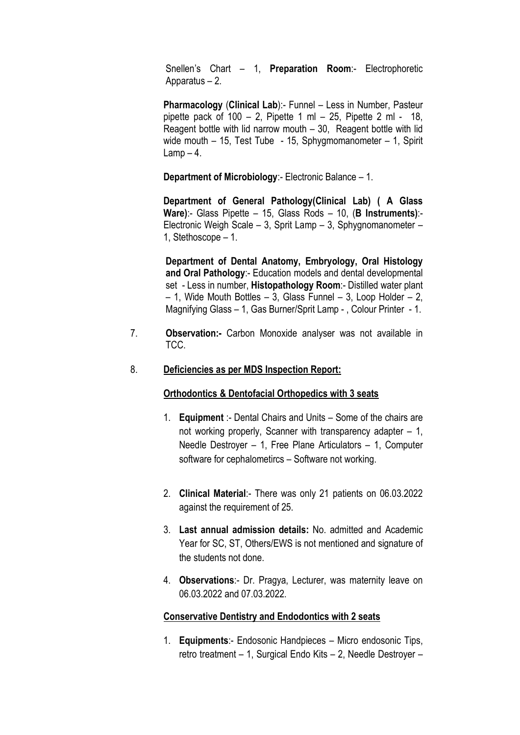Snellen's Chart – 1, **Preparation Room:**- Electrophoretic Apparatus – 2.

Pharmacology (Clinical Lab):- Funnel – Less in Number, Pasteur pipette pack of  $100 - 2$ , Pipette 1 ml – 25, Pipette 2 ml - 18, Reagent bottle with lid narrow mouth – 30, Reagent bottle with lid wide mouth – 15, Test Tube - 15, Sphygmomanometer – 1, Spirit  $Lamp - 4$ .

Department of Microbiology:- Electronic Balance – 1.

Department of General Pathology(Clinical Lab) ( A Glass Ware):- Glass Pipette – 15, Glass Rods – 10, (**B Instruments**):-Electronic Weigh Scale – 3, Sprit Lamp – 3, Sphygnomanometer – 1, Stethoscope – 1.

Department of Dental Anatomy, Embryology, Oral Histology and Oral Pathology:- Education models and dental developmental set - Less in number, Histopathology Room:- Distilled water plant  $-$  1, Wide Mouth Bottles  $-$  3, Glass Funnel  $-$  3, Loop Holder  $-$  2, Magnifying Glass – 1, Gas Burner/Sprit Lamp - , Colour Printer - 1.

7. Observation:- Carbon Monoxide analyser was not available in TCC.

### 8. Deficiencies as per MDS Inspection Report:

### Orthodontics & Dentofacial Orthopedics with 3 seats

- 1. **Equipment** :- Dental Chairs and Units Some of the chairs are not working properly, Scanner with transparency adapter – 1, Needle Destroyer – 1, Free Plane Articulators – 1, Computer software for cephalometircs – Software not working.
- 2. Clinical Material:- There was only 21 patients on 06.03.2022 against the requirement of 25.
- 3. Last annual admission details: No. admitted and Academic Year for SC, ST, Others/EWS is not mentioned and signature of the students not done.
- 4. Observations:- Dr. Pragya, Lecturer, was maternity leave on 06.03.2022 and 07.03.2022.

### Conservative Dentistry and Endodontics with 2 seats

1. Equipments:- Endosonic Handpieces – Micro endosonic Tips, retro treatment – 1, Surgical Endo Kits – 2, Needle Destroyer –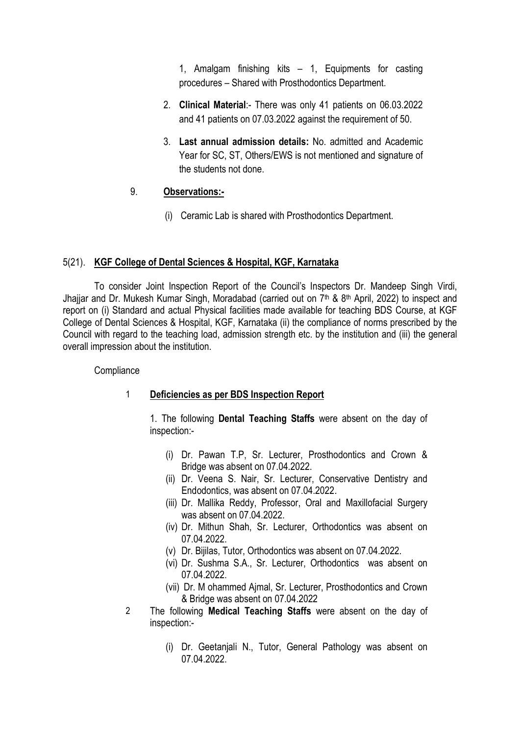1, Amalgam finishing kits – 1, Equipments for casting procedures – Shared with Prosthodontics Department.

- 2. Clinical Material:- There was only 41 patients on 06.03.2022 and 41 patients on 07.03.2022 against the requirement of 50.
- 3. Last annual admission details: No. admitted and Academic Year for SC, ST, Others/EWS is not mentioned and signature of the students not done.

## 9. Observations:-

(i) Ceramic Lab is shared with Prosthodontics Department.

### 5(21). KGF College of Dental Sciences & Hospital, KGF, Karnataka

To consider Joint Inspection Report of the Council's Inspectors Dr. Mandeep Singh Virdi, Jhajjar and Dr. Mukesh Kumar Singh, Moradabad (carried out on 7<sup>th</sup> & 8<sup>th</sup> April, 2022) to inspect and report on (i) Standard and actual Physical facilities made available for teaching BDS Course, at KGF College of Dental Sciences & Hospital, KGF, Karnataka (ii) the compliance of norms prescribed by the Council with regard to the teaching load, admission strength etc. by the institution and (iii) the general overall impression about the institution.

### **Compliance**

## 1 Deficiencies as per BDS Inspection Report

1. The following Dental Teaching Staffs were absent on the day of inspection:-

- (i) Dr. Pawan T.P, Sr. Lecturer, Prosthodontics and Crown & Bridge was absent on 07.04.2022.
- (ii) Dr. Veena S. Nair, Sr. Lecturer, Conservative Dentistry and Endodontics, was absent on 07.04.2022.
- (iii) Dr. Mallika Reddy, Professor, Oral and Maxillofacial Surgery was absent on 07.04.2022.
- (iv) Dr. Mithun Shah, Sr. Lecturer, Orthodontics was absent on 07.04.2022.
- (v) Dr. Bijilas, Tutor, Orthodontics was absent on 07.04.2022.
- (vi) Dr. Sushma S.A., Sr. Lecturer, Orthodontics was absent on 07.04.2022.
- (vii) Dr. M ohammed Ajmal, Sr. Lecturer, Prosthodontics and Crown & Bridge was absent on 07.04.2022
- 2 The following Medical Teaching Staffs were absent on the day of inspection:-
	- (i) Dr. Geetanjali N., Tutor, General Pathology was absent on 07.04.2022.